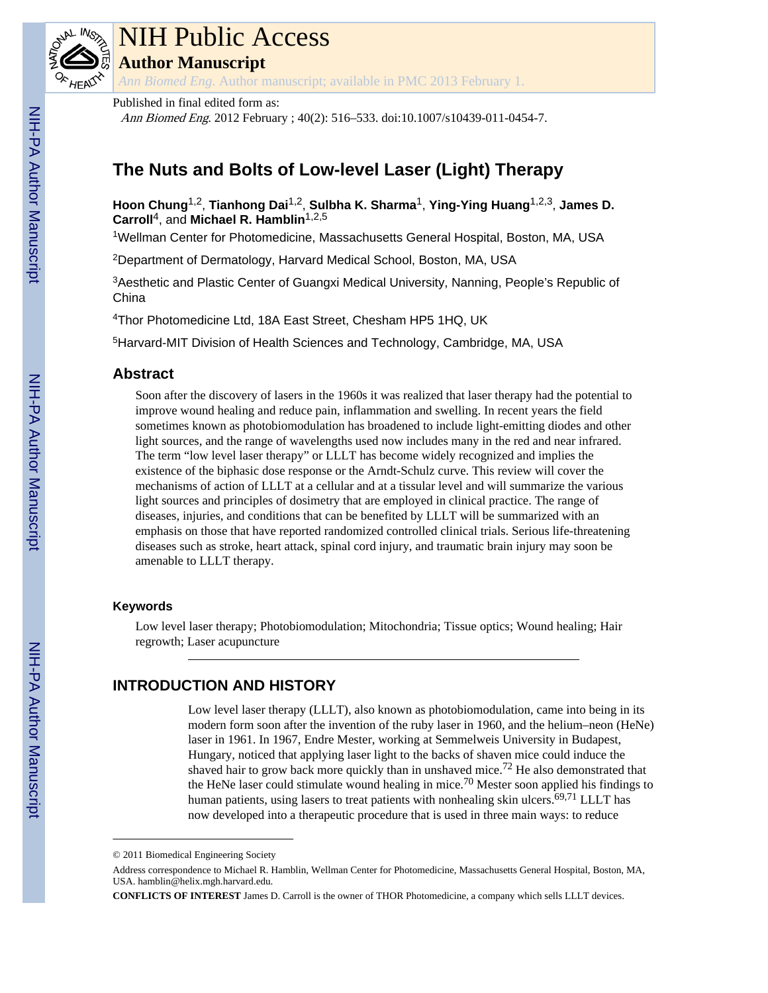

# NIH Public Access

**Author Manuscript**

*Ann Biomed Eng*. Author manuscript; available in PMC 2013 February 1.

Published in final edited form as:

Ann Biomed Eng. 2012 February ; 40(2): 516–533. doi:10.1007/s10439-011-0454-7.

# **The Nuts and Bolts of Low-level Laser (Light) Therapy**

**Hoon Chung**1,2, **Tianhong Dai**1,2, **Sulbha K. Sharma**1, **Ying-Ying Huang**1,2,3, **James D. Carroll**4, and **Michael R. Hamblin**1,2,5

<sup>1</sup>Wellman Center for Photomedicine, Massachusetts General Hospital, Boston, MA, USA

<sup>2</sup>Department of Dermatology, Harvard Medical School, Boston, MA, USA

<sup>3</sup> Aesthetic and Plastic Center of Guangxi Medical University, Nanning, People's Republic of China

<sup>4</sup>Thor Photomedicine Ltd, 18A East Street, Chesham HP5 1HQ, UK

<sup>5</sup>Harvard-MIT Division of Health Sciences and Technology, Cambridge, MA, USA

#### **Abstract**

Soon after the discovery of lasers in the 1960s it was realized that laser therapy had the potential to improve wound healing and reduce pain, inflammation and swelling. In recent years the field sometimes known as photobiomodulation has broadened to include light-emitting diodes and other light sources, and the range of wavelengths used now includes many in the red and near infrared. The term "low level laser therapy" or LLLT has become widely recognized and implies the existence of the biphasic dose response or the Arndt-Schulz curve. This review will cover the mechanisms of action of LLLT at a cellular and at a tissular level and will summarize the various light sources and principles of dosimetry that are employed in clinical practice. The range of diseases, injuries, and conditions that can be benefited by LLLT will be summarized with an emphasis on those that have reported randomized controlled clinical trials. Serious life-threatening diseases such as stroke, heart attack, spinal cord injury, and traumatic brain injury may soon be amenable to LLLT therapy.

#### **Keywords**

Low level laser therapy; Photobiomodulation; Mitochondria; Tissue optics; Wound healing; Hair regrowth; Laser acupuncture

# **INTRODUCTION AND HISTORY**

Low level laser therapy (LLLT), also known as photobiomodulation, came into being in its modern form soon after the invention of the ruby laser in 1960, and the helium–neon (HeNe) laser in 1961. In 1967, Endre Mester, working at Semmelweis University in Budapest, Hungary, noticed that applying laser light to the backs of shaven mice could induce the shaved hair to grow back more quickly than in unshaved mice.<sup>72</sup> He also demonstrated that the HeNe laser could stimulate wound healing in mice.70 Mester soon applied his findings to human patients, using lasers to treat patients with nonhealing skin ulcers. $69,71$  LLLT has now developed into a therapeutic procedure that is used in three main ways: to reduce

**CONFLICTS OF INTEREST** James D. Carroll is the owner of THOR Photomedicine, a company which sells LLLT devices.

<sup>© 2011</sup> Biomedical Engineering Society

Address correspondence to Michael R. Hamblin, Wellman Center for Photomedicine, Massachusetts General Hospital, Boston, MA, USA. hamblin@helix.mgh.harvard.edu.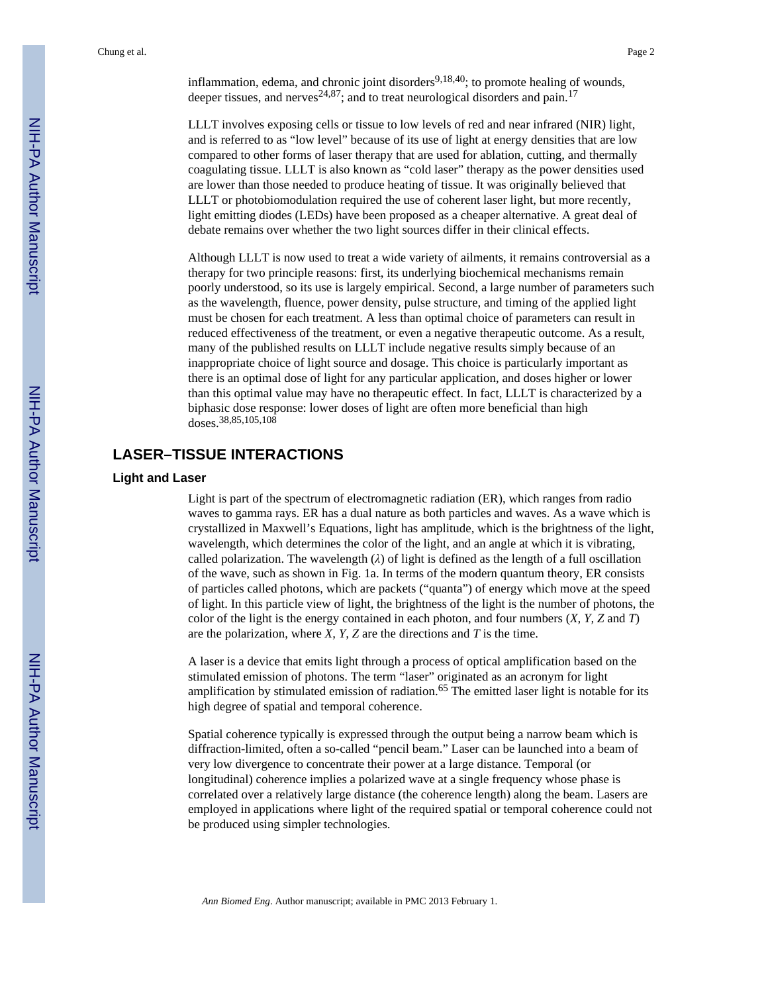inflammation, edema, and chronic joint disorders<sup>9,18,40</sup>; to promote healing of wounds, deeper tissues, and nerves<sup>24,87</sup>; and to treat neurological disorders and pain.<sup>17</sup>

LLLT involves exposing cells or tissue to low levels of red and near infrared (NIR) light, and is referred to as "low level" because of its use of light at energy densities that are low compared to other forms of laser therapy that are used for ablation, cutting, and thermally coagulating tissue. LLLT is also known as "cold laser" therapy as the power densities used are lower than those needed to produce heating of tissue. It was originally believed that LLLT or photobiomodulation required the use of coherent laser light, but more recently, light emitting diodes (LEDs) have been proposed as a cheaper alternative. A great deal of debate remains over whether the two light sources differ in their clinical effects.

Although LLLT is now used to treat a wide variety of ailments, it remains controversial as a therapy for two principle reasons: first, its underlying biochemical mechanisms remain poorly understood, so its use is largely empirical. Second, a large number of parameters such as the wavelength, fluence, power density, pulse structure, and timing of the applied light must be chosen for each treatment. A less than optimal choice of parameters can result in reduced effectiveness of the treatment, or even a negative therapeutic outcome. As a result, many of the published results on LLLT include negative results simply because of an inappropriate choice of light source and dosage. This choice is particularly important as there is an optimal dose of light for any particular application, and doses higher or lower than this optimal value may have no therapeutic effect. In fact, LLLT is characterized by a biphasic dose response: lower doses of light are often more beneficial than high doses.38,85,105,108

# **LASER–TISSUE INTERACTIONS**

#### **Light and Laser**

Light is part of the spectrum of electromagnetic radiation (ER), which ranges from radio waves to gamma rays. ER has a dual nature as both particles and waves. As a wave which is crystallized in Maxwell's Equations, light has amplitude, which is the brightness of the light, wavelength, which determines the color of the light, and an angle at which it is vibrating, called polarization. The wavelength  $(\lambda)$  of light is defined as the length of a full oscillation of the wave, such as shown in Fig. 1a. In terms of the modern quantum theory, ER consists of particles called photons, which are packets ("quanta") of energy which move at the speed of light. In this particle view of light, the brightness of the light is the number of photons, the color of the light is the energy contained in each photon, and four numbers (*X, Y, Z* and *T*) are the polarization, where *X, Y, Z* are the directions and *T* is the time.

A laser is a device that emits light through a process of optical amplification based on the stimulated emission of photons. The term "laser" originated as an acronym for light amplification by stimulated emission of radiation.65 The emitted laser light is notable for its high degree of spatial and temporal coherence.

Spatial coherence typically is expressed through the output being a narrow beam which is diffraction-limited, often a so-called "pencil beam." Laser can be launched into a beam of very low divergence to concentrate their power at a large distance. Temporal (or longitudinal) coherence implies a polarized wave at a single frequency whose phase is correlated over a relatively large distance (the coherence length) along the beam. Lasers are employed in applications where light of the required spatial or temporal coherence could not be produced using simpler technologies.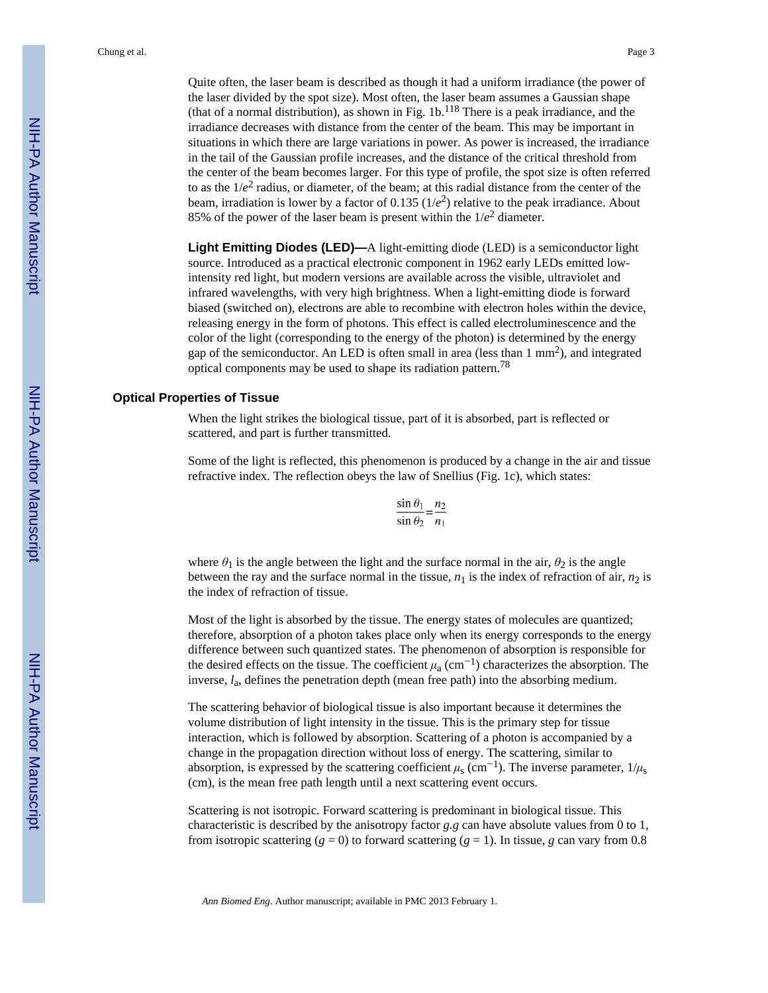Quite often, the laser beam is described as though it had a uniform irradiance (the power of the laser divided by the spot size). Most often, the laser beam assumes a Gaussian shape (that of a normal distribution), as shown in Fig.  $1b$ .<sup>118</sup> There is a peak irradiance, and the irradiance decreases with distance from the center of the beam. This may be important in situations in which there are large variations in power. As power is increased, the irradiance in the tail of the Gaussian profile increases, and the distance of the critical threshold from the center of the beam becomes larger. For this type of profile, the spot size is often referred to as the 1/*e* 2 radius, or diameter, of the beam; at this radial distance from the center of the beam, irradiation is lower by a factor of 0.135 (1/*e* 2 ) relative to the peak irradiance. About 85% of the power of the laser beam is present within the  $1/e^2$  diameter.

**Light Emitting Diodes (LED)—**A light-emitting diode (LED) is a semiconductor light source. Introduced as a practical electronic component in 1962 early LEDs emitted lowintensity red light, but modern versions are available across the visible, ultraviolet and infrared wavelengths, with very high brightness. When a light-emitting diode is forward biased (switched on), electrons are able to recombine with electron holes within the device, releasing energy in the form of photons. This effect is called electroluminescence and the color of the light (corresponding to the energy of the photon) is determined by the energy gap of the semiconductor. An LED is often small in area (less than  $1 \text{ mm}^2$ ), and integrated optical components may be used to shape its radiation pattern.<sup>78</sup>

#### **Optical Properties of Tissue**

When the light strikes the biological tissue, part of it is absorbed, part is reflected or scattered, and part is further transmitted.

Some of the light is reflected, this phenomenon is produced by a change in the air and tissue refractive index. The reflection obeys the law of Snellius (Fig. 1c), which states:

$$
\frac{\sin \theta_1}{\sin \theta_2} = \frac{n_2}{n_1}
$$

where  $\theta_1$  is the angle between the light and the surface normal in the air,  $\theta_2$  is the angle between the ray and the surface normal in the tissue,  $n_1$  is the index of refraction of air,  $n_2$  is the index of refraction of tissue.

Most of the light is absorbed by the tissue. The energy states of molecules are quantized; therefore, absorption of a photon takes place only when its energy corresponds to the energy difference between such quantized states. The phenomenon of absorption is responsible for the desired effects on the tissue. The coefficient  $\mu_a$  (cm<sup>-1</sup>) characterizes the absorption. The inverse, *l*<sup>a</sup> , defines the penetration depth (mean free path) into the absorbing medium.

The scattering behavior of biological tissue is also important because it determines the volume distribution of light intensity in the tissue. This is the primary step for tissue interaction, which is followed by absorption. Scattering of a photon is accompanied by a change in the propagation direction without loss of energy. The scattering, similar to absorption, is expressed by the scattering coefficient  $\mu_s$  (cm<sup>-1</sup>). The inverse parameter,  $1/\mu_s$ (cm), is the mean free path length until a next scattering event occurs.

Scattering is not isotropic. Forward scattering is predominant in biological tissue. This characteristic is described by the anisotropy factor *g.g* can have absolute values from 0 to 1, from isotropic scattering ( $g = 0$ ) to forward scattering ( $g = 1$ ). In tissue, *g* can vary from 0.8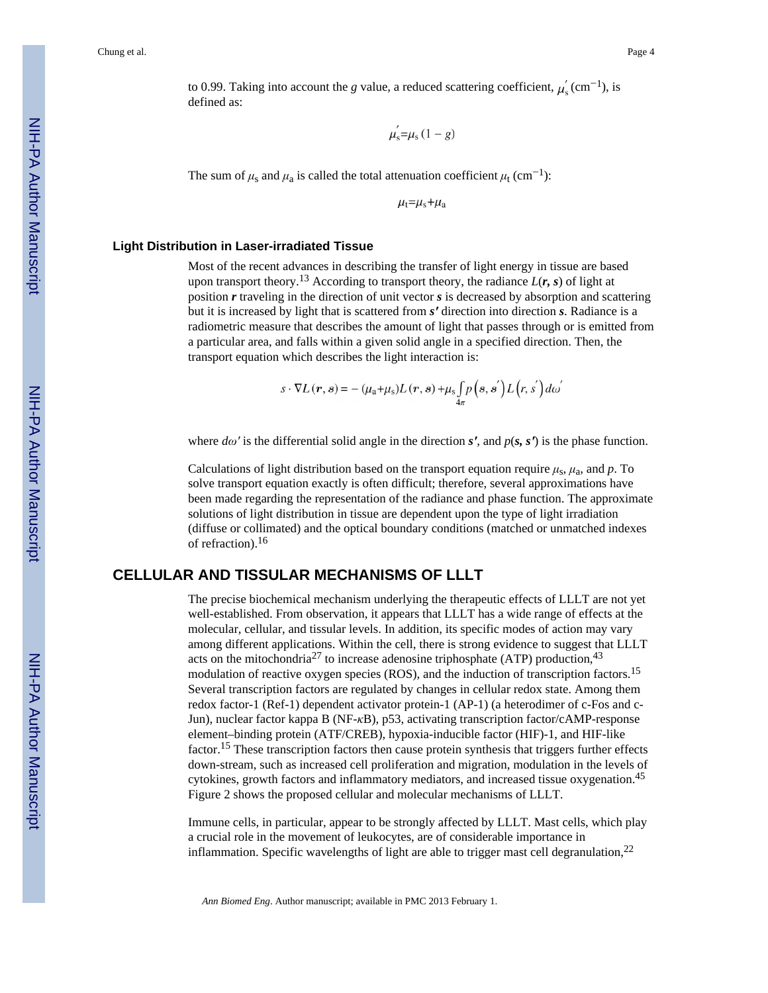to 0.99. Taking into account the *g* value, a reduced scattering coefficient,  $\mu_{s}^{'}$  (cm<sup>-1</sup>), is defined as:

 $\mu'_{s} = \mu_{s} (1 - g)$ 

The sum of  $\mu_s$  and  $\mu_a$  is called the total attenuation coefficient  $\mu_t$  (cm<sup>-1</sup>):

 $\mu$ <sub>t</sub>= $\mu$ <sub>s</sub>+ $\mu$ <sub>a</sub>

#### **Light Distribution in Laser-irradiated Tissue**

Most of the recent advances in describing the transfer of light energy in tissue are based upon transport theory.<sup>13</sup> According to transport theory, the radiance  $L(r, s)$  of light at position *r* traveling in the direction of unit vector *s* is decreased by absorption and scattering but it is increased by light that is scattered from *s′* direction into direction *s*. Radiance is a radiometric measure that describes the amount of light that passes through or is emitted from a particular area, and falls within a given solid angle in a specified direction. Then, the transport equation which describes the light interaction is:

$$
s \cdot \nabla L(r, s) = -(\mu_a + \mu_s)L(r, s) + \mu_s \int_{4\pi}^{\pi} p\left(s, s^{'}\right) L\left(r, s^{'}\right) d\omega^{'}.
$$

where  $d\omega'$  is the differential solid angle in the direction *s'*, and  $p(s, s')$  is the phase function.

Calculations of light distribution based on the transport equation require  $\mu_s$ ,  $\mu_a$ , and  $p$ . To solve transport equation exactly is often difficult; therefore, several approximations have been made regarding the representation of the radiance and phase function. The approximate solutions of light distribution in tissue are dependent upon the type of light irradiation (diffuse or collimated) and the optical boundary conditions (matched or unmatched indexes of refraction).<sup>16</sup>

#### **CELLULAR AND TISSULAR MECHANISMS OF LLLT**

The precise biochemical mechanism underlying the therapeutic effects of LLLT are not yet well-established. From observation, it appears that LLLT has a wide range of effects at the molecular, cellular, and tissular levels. In addition, its specific modes of action may vary among different applications. Within the cell, there is strong evidence to suggest that LLLT acts on the mitochondria<sup>27</sup> to increase adenosine triphosphate (ATP) production, <sup>43</sup> modulation of reactive oxygen species (ROS), and the induction of transcription factors.<sup>15</sup> Several transcription factors are regulated by changes in cellular redox state. Among them redox factor-1 (Ref-1) dependent activator protein-1 (AP-1) (a heterodimer of c-Fos and c-Jun), nuclear factor kappa B (NF-*κ*B), p53, activating transcription factor/cAMP-response element–binding protein (ATF/CREB), hypoxia-inducible factor (HIF)-1, and HIF-like factor.15 These transcription factors then cause protein synthesis that triggers further effects down-stream, such as increased cell proliferation and migration, modulation in the levels of cytokines, growth factors and inflammatory mediators, and increased tissue oxygenation.<sup>45</sup> Figure 2 shows the proposed cellular and molecular mechanisms of LLLT.

Immune cells, in particular, appear to be strongly affected by LLLT. Mast cells, which play a crucial role in the movement of leukocytes, are of considerable importance in inflammation. Specific wavelengths of light are able to trigger mast cell degranulation, $22$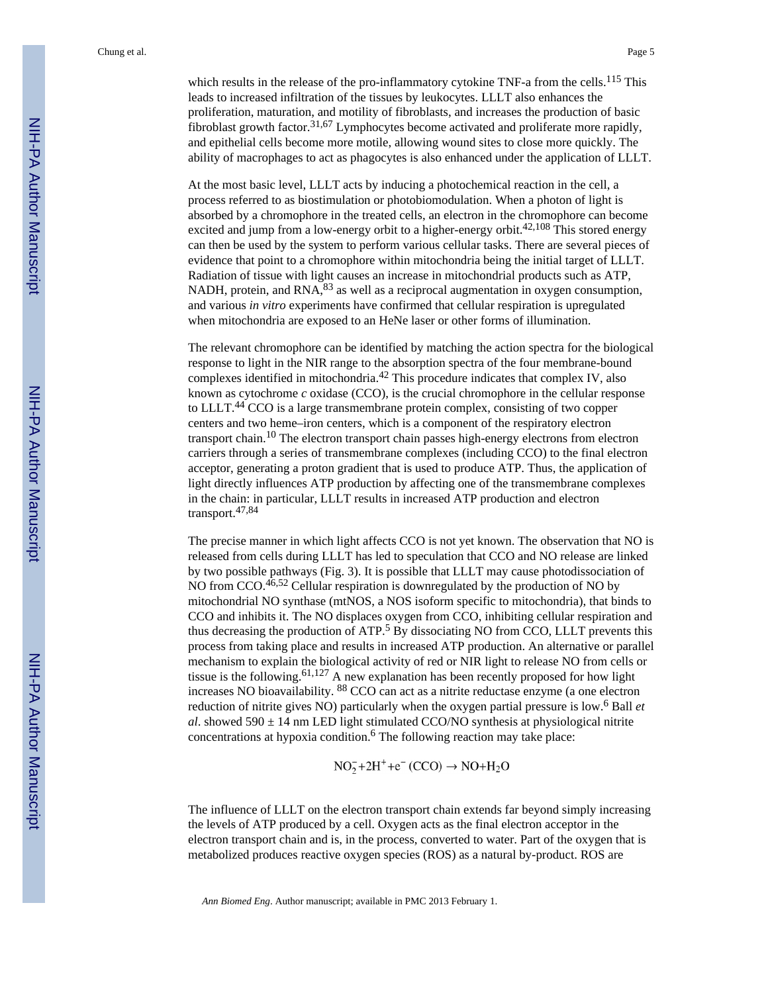which results in the release of the pro-inflammatory cytokine TNF-a from the cells.<sup>115</sup> This leads to increased infiltration of the tissues by leukocytes. LLLT also enhances the proliferation, maturation, and motility of fibroblasts, and increases the production of basic fibroblast growth factor.<sup>31,67</sup> Lymphocytes become activated and proliferate more rapidly, and epithelial cells become more motile, allowing wound sites to close more quickly. The ability of macrophages to act as phagocytes is also enhanced under the application of LLLT.

At the most basic level, LLLT acts by inducing a photochemical reaction in the cell, a process referred to as biostimulation or photobiomodulation. When a photon of light is absorbed by a chromophore in the treated cells, an electron in the chromophore can become excited and jump from a low-energy orbit to a higher-energy orbit.<sup>42,108</sup> This stored energy can then be used by the system to perform various cellular tasks. There are several pieces of evidence that point to a chromophore within mitochondria being the initial target of LLLT. Radiation of tissue with light causes an increase in mitochondrial products such as ATP, NADH, protein, and RNA,<sup>83</sup> as well as a reciprocal augmentation in oxygen consumption, and various *in vitro* experiments have confirmed that cellular respiration is upregulated when mitochondria are exposed to an HeNe laser or other forms of illumination.

The relevant chromophore can be identified by matching the action spectra for the biological response to light in the NIR range to the absorption spectra of the four membrane-bound complexes identified in mitochondria.42 This procedure indicates that complex IV, also known as cytochrome *c* oxidase (CCO), is the crucial chromophore in the cellular response to LLLT.44 CCO is a large transmembrane protein complex, consisting of two copper centers and two heme–iron centers, which is a component of the respiratory electron transport chain.<sup>10</sup> The electron transport chain passes high-energy electrons from electron carriers through a series of transmembrane complexes (including CCO) to the final electron acceptor, generating a proton gradient that is used to produce ATP. Thus, the application of light directly influences ATP production by affecting one of the transmembrane complexes in the chain: in particular, LLLT results in increased ATP production and electron transport.47,84

The precise manner in which light affects CCO is not yet known. The observation that NO is released from cells during LLLT has led to speculation that CCO and NO release are linked by two possible pathways (Fig. 3). It is possible that LLLT may cause photodissociation of NO from CCO.<sup>46,52</sup> Cellular respiration is downregulated by the production of NO by mitochondrial NO synthase (mtNOS, a NOS isoform specific to mitochondria), that binds to CCO and inhibits it. The NO displaces oxygen from CCO, inhibiting cellular respiration and thus decreasing the production of  $ATP<sup>5</sup>$  By dissociating NO from CCO, LLLT prevents this process from taking place and results in increased ATP production. An alternative or parallel mechanism to explain the biological activity of red or NIR light to release NO from cells or tissue is the following.<sup>61,127</sup> A new explanation has been recently proposed for how light increases NO bioavailability. 88 CCO can act as a nitrite reductase enzyme (a one electron reduction of nitrite gives NO) particularly when the oxygen partial pressure is low.<sup>6</sup> Ball *et al*. showed 590  $\pm$  14 nm LED light stimulated CCO/NO synthesis at physiological nitrite concentrations at hypoxia condition.<sup>6</sup> The following reaction may take place:

$$
NO_2^-+2H^+ + e^- (CCO) \rightarrow NO+H_2O
$$

The influence of LLLT on the electron transport chain extends far beyond simply increasing the levels of ATP produced by a cell. Oxygen acts as the final electron acceptor in the electron transport chain and is, in the process, converted to water. Part of the oxygen that is metabolized produces reactive oxygen species (ROS) as a natural by-product. ROS are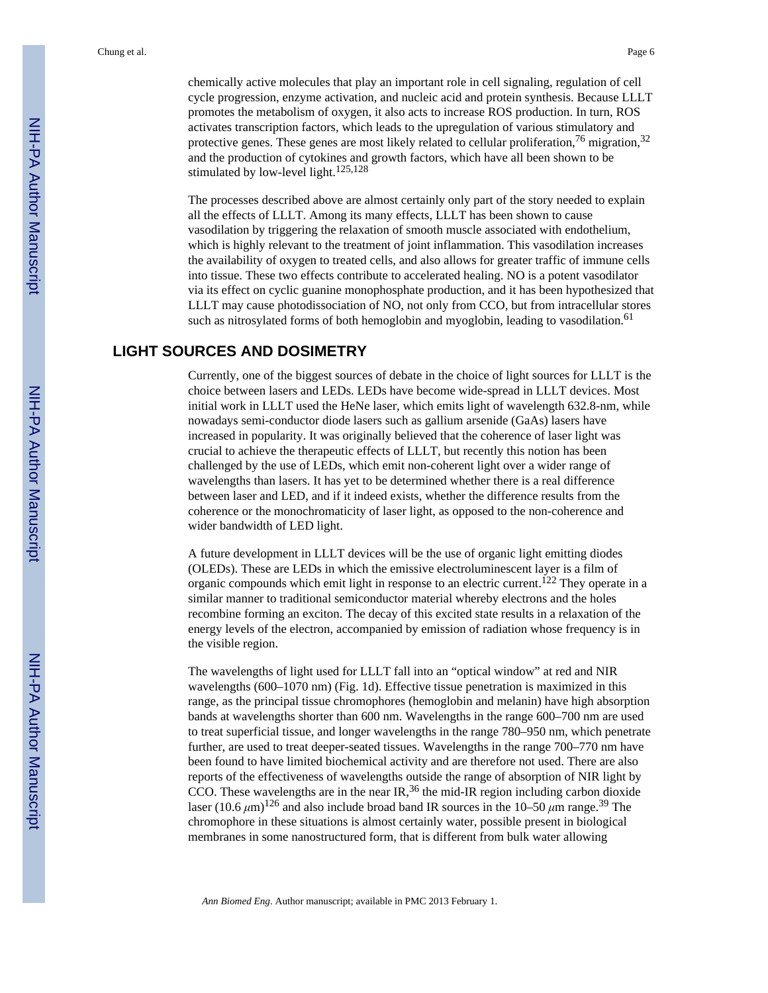chemically active molecules that play an important role in cell signaling, regulation of cell cycle progression, enzyme activation, and nucleic acid and protein synthesis. Because LLLT promotes the metabolism of oxygen, it also acts to increase ROS production. In turn, ROS activates transcription factors, which leads to the upregulation of various stimulatory and protective genes. These genes are most likely related to cellular proliferation,<sup>76</sup> migration,<sup>32</sup> and the production of cytokines and growth factors, which have all been shown to be stimulated by low-level light.<sup>125,128</sup>

The processes described above are almost certainly only part of the story needed to explain all the effects of LLLT. Among its many effects, LLLT has been shown to cause vasodilation by triggering the relaxation of smooth muscle associated with endothelium, which is highly relevant to the treatment of joint inflammation. This vasodilation increases the availability of oxygen to treated cells, and also allows for greater traffic of immune cells into tissue. These two effects contribute to accelerated healing. NO is a potent vasodilator via its effect on cyclic guanine monophosphate production, and it has been hypothesized that LLLT may cause photodissociation of NO, not only from CCO, but from intracellular stores such as nitrosylated forms of both hemoglobin and myoglobin, leading to vasodilation.<sup>61</sup>

### **LIGHT SOURCES AND DOSIMETRY**

Currently, one of the biggest sources of debate in the choice of light sources for LLLT is the choice between lasers and LEDs. LEDs have become wide-spread in LLLT devices. Most initial work in LLLT used the HeNe laser, which emits light of wavelength 632.8-nm, while nowadays semi-conductor diode lasers such as gallium arsenide (GaAs) lasers have increased in popularity. It was originally believed that the coherence of laser light was crucial to achieve the therapeutic effects of LLLT, but recently this notion has been challenged by the use of LEDs, which emit non-coherent light over a wider range of wavelengths than lasers. It has yet to be determined whether there is a real difference between laser and LED, and if it indeed exists, whether the difference results from the coherence or the monochromaticity of laser light, as opposed to the non-coherence and wider bandwidth of LED light.

A future development in LLLT devices will be the use of organic light emitting diodes (OLEDs). These are LEDs in which the emissive electroluminescent layer is a film of organic compounds which emit light in response to an electric current.<sup>122</sup> They operate in a similar manner to traditional semiconductor material whereby electrons and the holes recombine forming an exciton. The decay of this excited state results in a relaxation of the energy levels of the electron, accompanied by emission of radiation whose frequency is in the visible region.

The wavelengths of light used for LLLT fall into an "optical window" at red and NIR wavelengths (600–1070 nm) (Fig. 1d). Effective tissue penetration is maximized in this range, as the principal tissue chromophores (hemoglobin and melanin) have high absorption bands at wavelengths shorter than 600 nm. Wavelengths in the range 600–700 nm are used to treat superficial tissue, and longer wavelengths in the range 780–950 nm, which penetrate further, are used to treat deeper-seated tissues. Wavelengths in the range 700–770 nm have been found to have limited biochemical activity and are therefore not used. There are also reports of the effectiveness of wavelengths outside the range of absorption of NIR light by CCO. These wavelengths are in the near IR,  $36$  the mid-IR region including carbon dioxide laser  $(10.6 \,\mu\text{m})^{126}$  and also include broad band IR sources in the 10–50  $\mu$ m range.<sup>39</sup> The chromophore in these situations is almost certainly water, possible present in biological membranes in some nanostructured form, that is different from bulk water allowing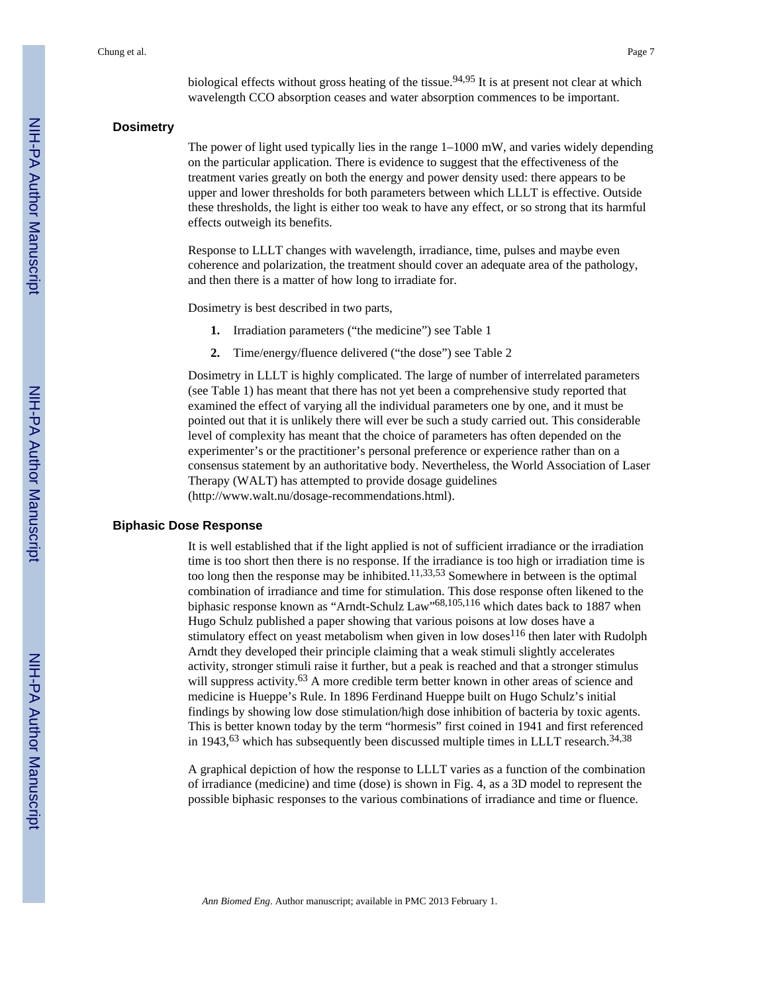biological effects without gross heating of the tissue.<sup>94,95</sup> It is at present not clear at which wavelength CCO absorption ceases and water absorption commences to be important.

#### **Dosimetry**

The power of light used typically lies in the range  $1-1000$  mW, and varies widely depending on the particular application. There is evidence to suggest that the effectiveness of the treatment varies greatly on both the energy and power density used: there appears to be upper and lower thresholds for both parameters between which LLLT is effective. Outside these thresholds, the light is either too weak to have any effect, or so strong that its harmful effects outweigh its benefits.

Response to LLLT changes with wavelength, irradiance, time, pulses and maybe even coherence and polarization, the treatment should cover an adequate area of the pathology, and then there is a matter of how long to irradiate for.

Dosimetry is best described in two parts,

- **1.** Irradiation parameters ("the medicine") see Table 1
- **2.** Time/energy/fluence delivered ("the dose") see Table 2

Dosimetry in LLLT is highly complicated. The large of number of interrelated parameters (see Table 1) has meant that there has not yet been a comprehensive study reported that examined the effect of varying all the individual parameters one by one, and it must be pointed out that it is unlikely there will ever be such a study carried out. This considerable level of complexity has meant that the choice of parameters has often depended on the experimenter's or the practitioner's personal preference or experience rather than on a consensus statement by an authoritative body. Nevertheless, the World Association of Laser Therapy (WALT) has attempted to provide dosage guidelines [\(http://www.walt.nu/dosage-recommendations.html\)](http://www.walt.nu/dosage-recommendations.html).

#### **Biphasic Dose Response**

It is well established that if the light applied is not of sufficient irradiance or the irradiation time is too short then there is no response. If the irradiance is too high or irradiation time is too long then the response may be inhibited.<sup>11,33,53</sup> Somewhere in between is the optimal combination of irradiance and time for stimulation. This dose response often likened to the biphasic response known as "Arndt-Schulz Law"68,105,116 which dates back to 1887 when Hugo Schulz published a paper showing that various poisons at low doses have a stimulatory effect on yeast metabolism when given in low doses<sup>116</sup> then later with Rudolph Arndt they developed their principle claiming that a weak stimuli slightly accelerates activity, stronger stimuli raise it further, but a peak is reached and that a stronger stimulus will suppress activity.<sup>63</sup> A more credible term better known in other areas of science and medicine is Hueppe's Rule. In 1896 Ferdinand Hueppe built on Hugo Schulz's initial findings by showing low dose stimulation/high dose inhibition of bacteria by toxic agents. This is better known today by the term "hormesis" first coined in 1941 and first referenced in 1943,<sup>63</sup> which has subsequently been discussed multiple times in LLLT research.<sup>34,38</sup>

A graphical depiction of how the response to LLLT varies as a function of the combination of irradiance (medicine) and time (dose) is shown in Fig. 4, as a 3D model to represent the possible biphasic responses to the various combinations of irradiance and time or fluence.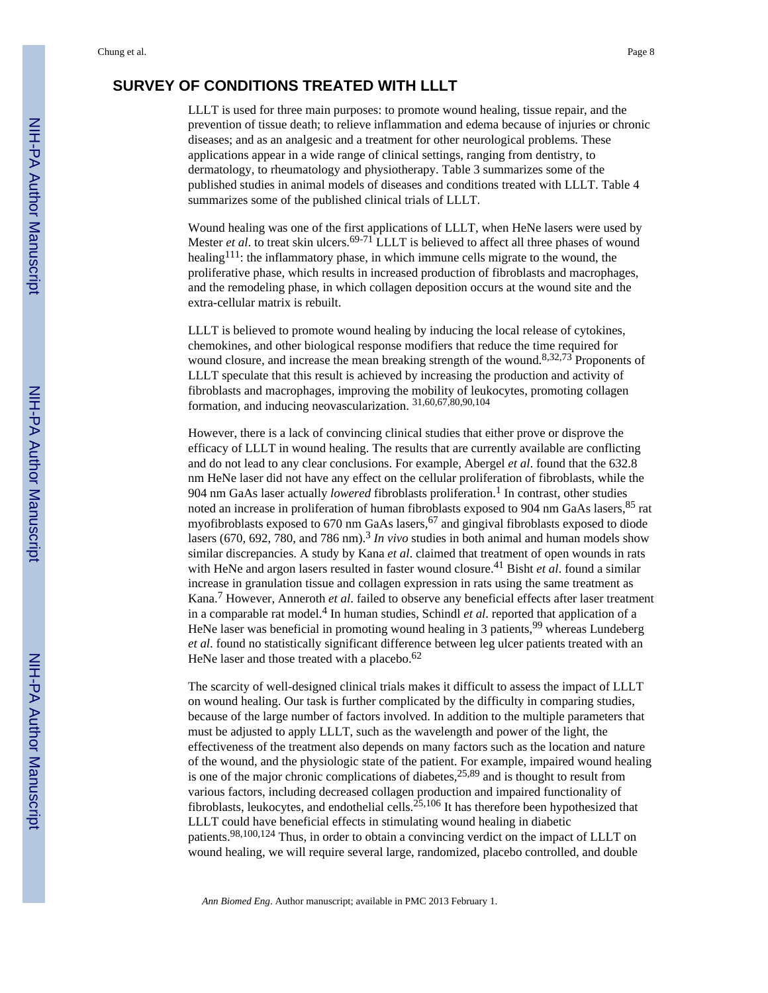## **SURVEY OF CONDITIONS TREATED WITH LLLT**

LLLT is used for three main purposes: to promote wound healing, tissue repair, and the prevention of tissue death; to relieve inflammation and edema because of injuries or chronic diseases; and as an analgesic and a treatment for other neurological problems. These applications appear in a wide range of clinical settings, ranging from dentistry, to dermatology, to rheumatology and physiotherapy. Table 3 summarizes some of the published studies in animal models of diseases and conditions treated with LLLT. Table 4 summarizes some of the published clinical trials of LLLT.

Wound healing was one of the first applications of LLLT, when HeNe lasers were used by Mester *et al.* to treat skin ulcers.<sup>69-71</sup> LLLT is believed to affect all three phases of wound healing<sup>111</sup>: the inflammatory phase, in which immune cells migrate to the wound, the proliferative phase, which results in increased production of fibroblasts and macrophages, and the remodeling phase, in which collagen deposition occurs at the wound site and the extra-cellular matrix is rebuilt.

LLLT is believed to promote wound healing by inducing the local release of cytokines, chemokines, and other biological response modifiers that reduce the time required for wound closure, and increase the mean breaking strength of the wound.<sup>8,32,73</sup> Proponents of LLLT speculate that this result is achieved by increasing the production and activity of fibroblasts and macrophages, improving the mobility of leukocytes, promoting collagen formation, and inducing neovascularization. 31,60,67,80,90,104

However, there is a lack of convincing clinical studies that either prove or disprove the efficacy of LLLT in wound healing. The results that are currently available are conflicting and do not lead to any clear conclusions. For example, Abergel *et al*. found that the 632.8 nm HeNe laser did not have any effect on the cellular proliferation of fibroblasts, while the 904 nm GaAs laser actually *lowered* fibroblasts proliferation.<sup>1</sup> In contrast, other studies noted an increase in proliferation of human fibroblasts exposed to 904 nm GaAs lasers, <sup>85</sup> rat myofibroblasts exposed to  $670$  nm GaAs lasers,  $67$  and gingival fibroblasts exposed to diode lasers (670, 692, 780, and 786 nm).<sup>3</sup> In vivo studies in both animal and human models show similar discrepancies. A study by Kana *et al*. claimed that treatment of open wounds in rats with HeNe and argon lasers resulted in faster wound closure.<sup>41</sup> Bisht *et al.* found a similar increase in granulation tissue and collagen expression in rats using the same treatment as Kana.<sup>7</sup> However, Anneroth *et al*. failed to observe any beneficial effects after laser treatment in a comparable rat model.<sup>4</sup> In human studies, Schindl *et al*. reported that application of a HeNe laser was beneficial in promoting wound healing in 3 patients,<sup>99</sup> whereas Lundeberg *et al*. found no statistically significant difference between leg ulcer patients treated with an HeNe laser and those treated with a placebo. $62$ 

The scarcity of well-designed clinical trials makes it difficult to assess the impact of LLLT on wound healing. Our task is further complicated by the difficulty in comparing studies, because of the large number of factors involved. In addition to the multiple parameters that must be adjusted to apply LLLT, such as the wavelength and power of the light, the effectiveness of the treatment also depends on many factors such as the location and nature of the wound, and the physiologic state of the patient. For example, impaired wound healing is one of the major chronic complications of diabetes,  $25,89$  and is thought to result from various factors, including decreased collagen production and impaired functionality of fibroblasts, leukocytes, and endothelial cells.<sup>25,106</sup> It has therefore been hypothesized that LLLT could have beneficial effects in stimulating wound healing in diabetic patients.98,100,124 Thus, in order to obtain a convincing verdict on the impact of LLLT on wound healing, we will require several large, randomized, placebo controlled, and double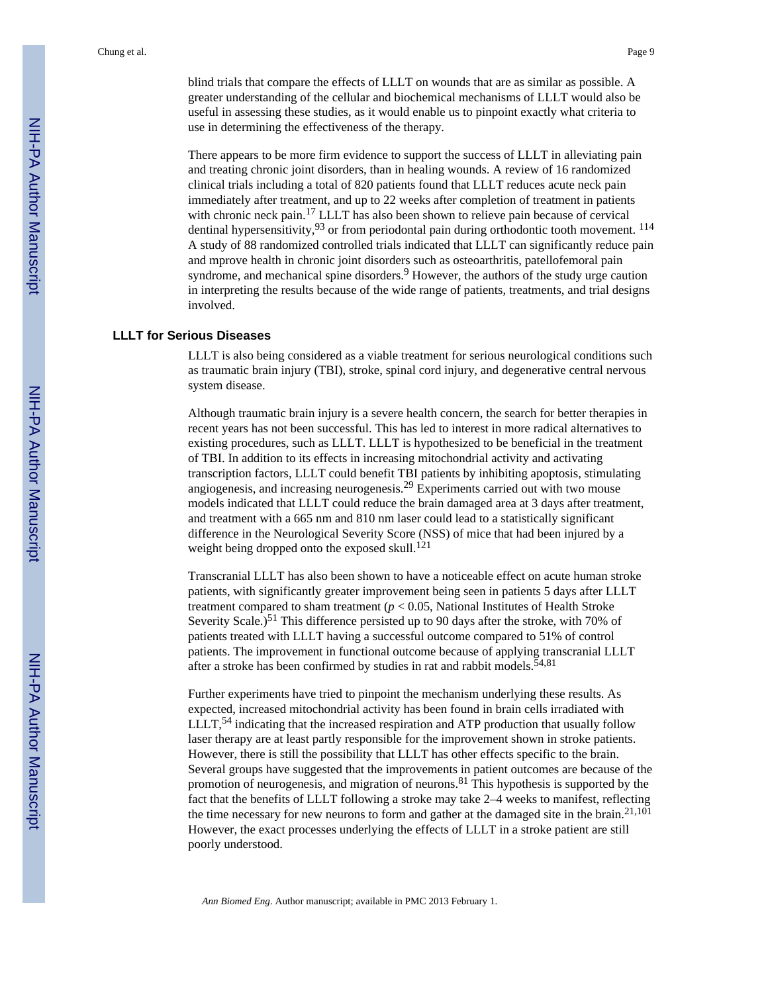blind trials that compare the effects of LLLT on wounds that are as similar as possible. A greater understanding of the cellular and biochemical mechanisms of LLLT would also be useful in assessing these studies, as it would enable us to pinpoint exactly what criteria to use in determining the effectiveness of the therapy.

There appears to be more firm evidence to support the success of LLLT in alleviating pain and treating chronic joint disorders, than in healing wounds. A review of 16 randomized clinical trials including a total of 820 patients found that LLLT reduces acute neck pain immediately after treatment, and up to 22 weeks after completion of treatment in patients with chronic neck pain.<sup>17</sup> LLLT has also been shown to relieve pain because of cervical dentinal hypersensitivity,  $93$  or from periodontal pain during orthodontic tooth movement.  $114$ A study of 88 randomized controlled trials indicated that LLLT can significantly reduce pain and mprove health in chronic joint disorders such as osteoarthritis, patellofemoral pain syndrome, and mechanical spine disorders.<sup>9</sup> However, the authors of the study urge caution in interpreting the results because of the wide range of patients, treatments, and trial designs involved.

#### **LLLT for Serious Diseases**

LLLT is also being considered as a viable treatment for serious neurological conditions such as traumatic brain injury (TBI), stroke, spinal cord injury, and degenerative central nervous system disease.

Although traumatic brain injury is a severe health concern, the search for better therapies in recent years has not been successful. This has led to interest in more radical alternatives to existing procedures, such as LLLT. LLLT is hypothesized to be beneficial in the treatment of TBI. In addition to its effects in increasing mitochondrial activity and activating transcription factors, LLLT could benefit TBI patients by inhibiting apoptosis, stimulating angiogenesis, and increasing neurogenesis.29 Experiments carried out with two mouse models indicated that LLLT could reduce the brain damaged area at 3 days after treatment, and treatment with a 665 nm and 810 nm laser could lead to a statistically significant difference in the Neurological Severity Score (NSS) of mice that had been injured by a weight being dropped onto the exposed skull.<sup>121</sup>

Transcranial LLLT has also been shown to have a noticeable effect on acute human stroke patients, with significantly greater improvement being seen in patients 5 days after LLLT treatment compared to sham treatment ( $p < 0.05$ , National Institutes of Health Stroke Severity Scale.)<sup>51</sup> This difference persisted up to 90 days after the stroke, with 70% of patients treated with LLLT having a successful outcome compared to 51% of control patients. The improvement in functional outcome because of applying transcranial LLLT after a stroke has been confirmed by studies in rat and rabbit models.<sup>54,81</sup>

Further experiments have tried to pinpoint the mechanism underlying these results. As expected, increased mitochondrial activity has been found in brain cells irradiated with  $LLLT$ ,<sup>54</sup> indicating that the increased respiration and ATP production that usually follow laser therapy are at least partly responsible for the improvement shown in stroke patients. However, there is still the possibility that LLLT has other effects specific to the brain. Several groups have suggested that the improvements in patient outcomes are because of the promotion of neurogenesis, and migration of neurons.<sup>81</sup> This hypothesis is supported by the fact that the benefits of LLLT following a stroke may take 2–4 weeks to manifest, reflecting the time necessary for new neurons to form and gather at the damaged site in the brain.<sup>21,101</sup> However, the exact processes underlying the effects of LLLT in a stroke patient are still poorly understood.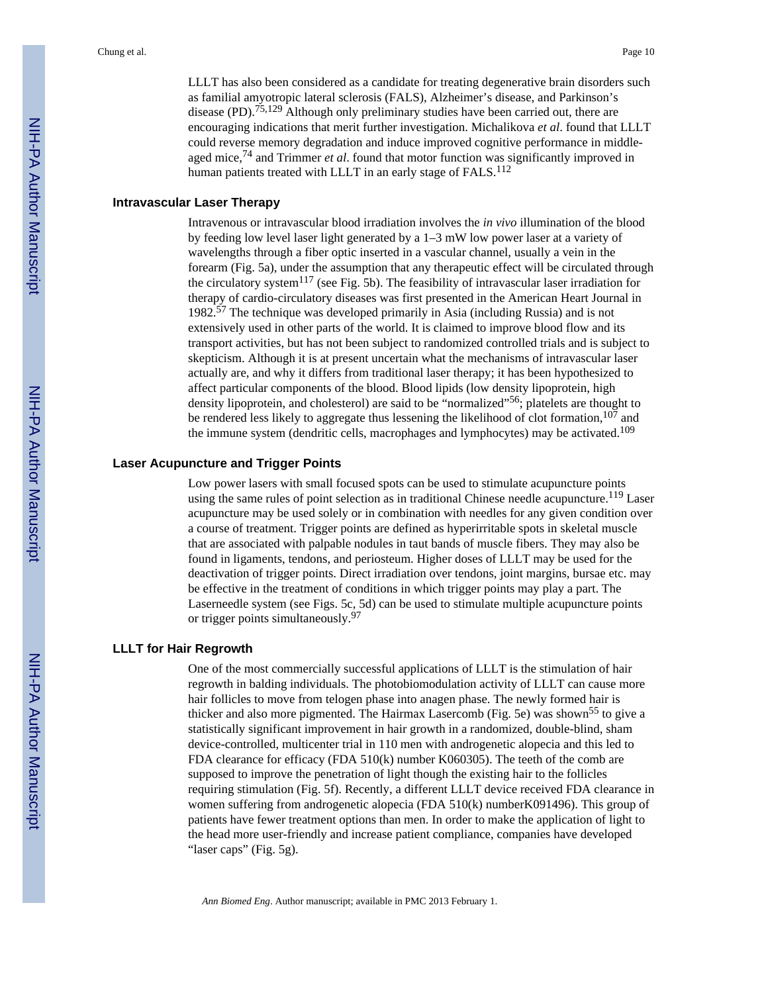LLLT has also been considered as a candidate for treating degenerative brain disorders such as familial amyotropic lateral sclerosis (FALS), Alzheimer's disease, and Parkinson's disease (PD).<sup>75,129</sup> Although only preliminary studies have been carried out, there are encouraging indications that merit further investigation. Michalikova *et al*. found that LLLT could reverse memory degradation and induce improved cognitive performance in middleaged mice,74 and Trimmer *et al*. found that motor function was significantly improved in human patients treated with LLLT in an early stage of FALS.<sup>112</sup>

#### **Intravascular Laser Therapy**

Intravenous or intravascular blood irradiation involves the *in vivo* illumination of the blood by feeding low level laser light generated by a 1–3 mW low power laser at a variety of wavelengths through a fiber optic inserted in a vascular channel, usually a vein in the forearm (Fig. 5a), under the assumption that any therapeutic effect will be circulated through the circulatory system<sup>117</sup> (see Fig. 5b). The feasibility of intravascular laser irradiation for therapy of cardio-circulatory diseases was first presented in the American Heart Journal in 1982.57 The technique was developed primarily in Asia (including Russia) and is not extensively used in other parts of the world. It is claimed to improve blood flow and its transport activities, but has not been subject to randomized controlled trials and is subject to skepticism. Although it is at present uncertain what the mechanisms of intravascular laser actually are, and why it differs from traditional laser therapy; it has been hypothesized to affect particular components of the blood. Blood lipids (low density lipoprotein, high density lipoprotein, and cholesterol) are said to be "normalized"<sup>56</sup>; platelets are thought to be rendered less likely to aggregate thus lessening the likelihood of clot formation,  $107$  and the immune system (dendritic cells, macrophages and lymphocytes) may be activated.<sup>109</sup>

#### **Laser Acupuncture and Trigger Points**

Low power lasers with small focused spots can be used to stimulate acupuncture points using the same rules of point selection as in traditional Chinese needle acupuncture.<sup>119</sup> Laser acupuncture may be used solely or in combination with needles for any given condition over a course of treatment. Trigger points are defined as hyperirritable spots in skeletal muscle that are associated with palpable nodules in taut bands of muscle fibers. They may also be found in ligaments, tendons, and periosteum. Higher doses of LLLT may be used for the deactivation of trigger points. Direct irradiation over tendons, joint margins, bursae etc. may be effective in the treatment of conditions in which trigger points may play a part. The Laserneedle system (see Figs. 5c, 5d) can be used to stimulate multiple acupuncture points or trigger points simultaneously.<sup>97</sup>

#### **LLLT for Hair Regrowth**

One of the most commercially successful applications of LLLT is the stimulation of hair regrowth in balding individuals. The photobiomodulation activity of LLLT can cause more hair follicles to move from telogen phase into anagen phase. The newly formed hair is thicker and also more pigmented. The Hairmax Lasercomb (Fig. 5e) was shown<sup>55</sup> to give a statistically significant improvement in hair growth in a randomized, double-blind, sham device-controlled, multicenter trial in 110 men with androgenetic alopecia and this led to FDA clearance for efficacy (FDA 510(k) number K060305). The teeth of the comb are supposed to improve the penetration of light though the existing hair to the follicles requiring stimulation (Fig. 5f). Recently, a different LLLT device received FDA clearance in women suffering from androgenetic alopecia (FDA 510(k) numberK091496). This group of patients have fewer treatment options than men. In order to make the application of light to the head more user-friendly and increase patient compliance, companies have developed "laser caps" (Fig. 5g).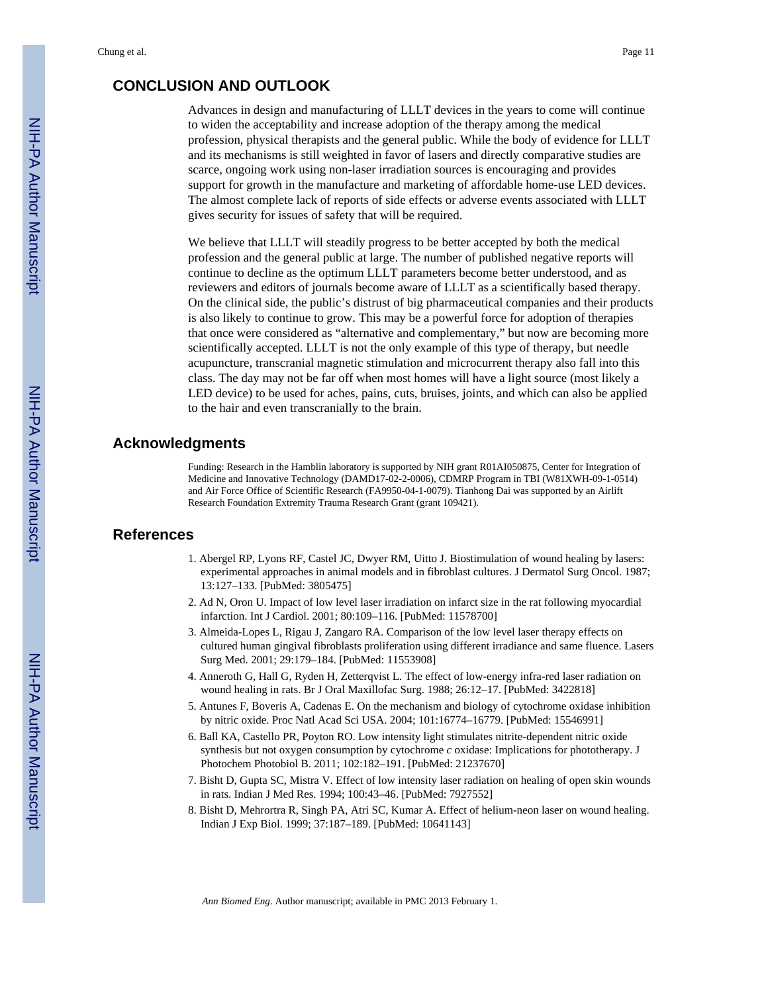#### **CONCLUSION AND OUTLOOK**

Advances in design and manufacturing of LLLT devices in the years to come will continue to widen the acceptability and increase adoption of the therapy among the medical profession, physical therapists and the general public. While the body of evidence for LLLT and its mechanisms is still weighted in favor of lasers and directly comparative studies are scarce, ongoing work using non-laser irradiation sources is encouraging and provides support for growth in the manufacture and marketing of affordable home-use LED devices. The almost complete lack of reports of side effects or adverse events associated with LLLT gives security for issues of safety that will be required.

We believe that LLLT will steadily progress to be better accepted by both the medical profession and the general public at large. The number of published negative reports will continue to decline as the optimum LLLT parameters become better understood, and as reviewers and editors of journals become aware of LLLT as a scientifically based therapy. On the clinical side, the public's distrust of big pharmaceutical companies and their products is also likely to continue to grow. This may be a powerful force for adoption of therapies that once were considered as "alternative and complementary," but now are becoming more scientifically accepted. LLLT is not the only example of this type of therapy, but needle acupuncture, transcranial magnetic stimulation and microcurrent therapy also fall into this class. The day may not be far off when most homes will have a light source (most likely a LED device) to be used for aches, pains, cuts, bruises, joints, and which can also be applied to the hair and even transcranially to the brain.

#### **Acknowledgments**

Funding: Research in the Hamblin laboratory is supported by NIH grant R01AI050875, Center for Integration of Medicine and Innovative Technology (DAMD17-02-2-0006), CDMRP Program in TBI (W81XWH-09-1-0514) and Air Force Office of Scientific Research (FA9950-04-1-0079). Tianhong Dai was supported by an Airlift Research Foundation Extremity Trauma Research Grant (grant 109421).

#### **References**

- 1. Abergel RP, Lyons RF, Castel JC, Dwyer RM, Uitto J. Biostimulation of wound healing by lasers: experimental approaches in animal models and in fibroblast cultures. J Dermatol Surg Oncol. 1987; 13:127–133. [PubMed: 3805475]
- 2. Ad N, Oron U. Impact of low level laser irradiation on infarct size in the rat following myocardial infarction. Int J Cardiol. 2001; 80:109–116. [PubMed: 11578700]
- 3. Almeida-Lopes L, Rigau J, Zangaro RA. Comparison of the low level laser therapy effects on cultured human gingival fibroblasts proliferation using different irradiance and same fluence. Lasers Surg Med. 2001; 29:179–184. [PubMed: 11553908]
- 4. Anneroth G, Hall G, Ryden H, Zetterqvist L. The effect of low-energy infra-red laser radiation on wound healing in rats. Br J Oral Maxillofac Surg. 1988; 26:12–17. [PubMed: 3422818]
- 5. Antunes F, Boveris A, Cadenas E. On the mechanism and biology of cytochrome oxidase inhibition by nitric oxide. Proc Natl Acad Sci USA. 2004; 101:16774–16779. [PubMed: 15546991]
- 6. Ball KA, Castello PR, Poyton RO. Low intensity light stimulates nitrite-dependent nitric oxide synthesis but not oxygen consumption by cytochrome *c* oxidase: Implications for phototherapy. J Photochem Photobiol B. 2011; 102:182–191. [PubMed: 21237670]
- 7. Bisht D, Gupta SC, Mistra V. Effect of low intensity laser radiation on healing of open skin wounds in rats. Indian J Med Res. 1994; 100:43–46. [PubMed: 7927552]
- 8. Bisht D, Mehrortra R, Singh PA, Atri SC, Kumar A. Effect of helium-neon laser on wound healing. Indian J Exp Biol. 1999; 37:187–189. [PubMed: 10641143]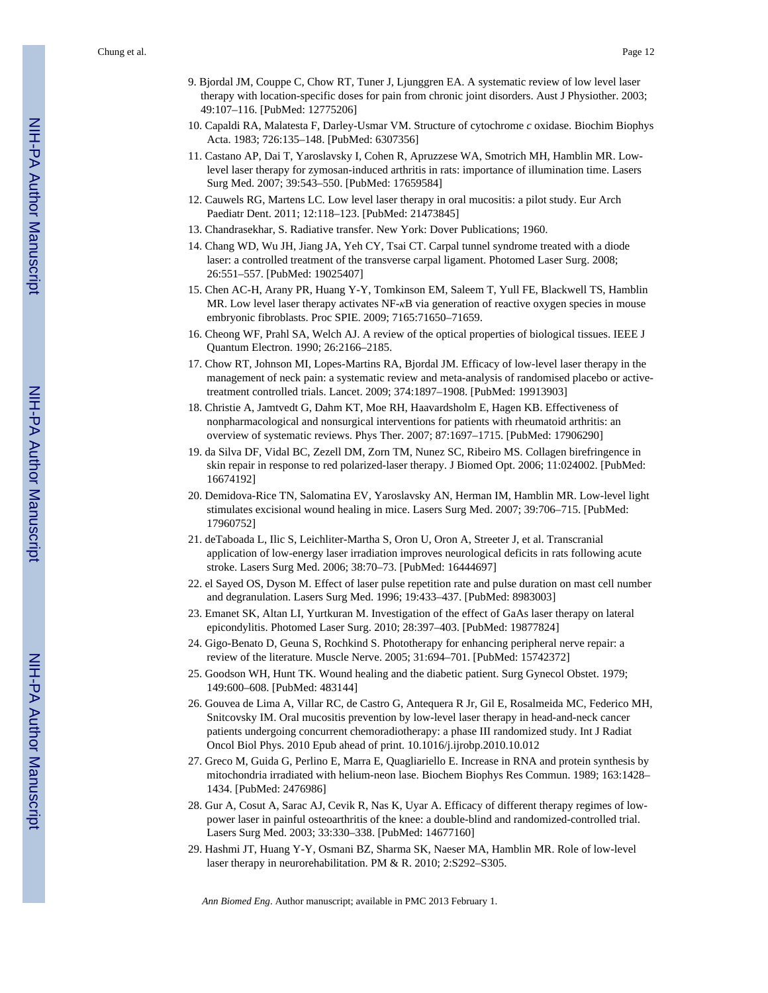- 9. Bjordal JM, Couppe C, Chow RT, Tuner J, Ljunggren EA. A systematic review of low level laser therapy with location-specific doses for pain from chronic joint disorders. Aust J Physiother. 2003; 49:107–116. [PubMed: 12775206]
- 10. Capaldi RA, Malatesta F, Darley-Usmar VM. Structure of cytochrome *c* oxidase. Biochim Biophys Acta. 1983; 726:135–148. [PubMed: 6307356]
- 11. Castano AP, Dai T, Yaroslavsky I, Cohen R, Apruzzese WA, Smotrich MH, Hamblin MR. Lowlevel laser therapy for zymosan-induced arthritis in rats: importance of illumination time. Lasers Surg Med. 2007; 39:543–550. [PubMed: 17659584]
- 12. Cauwels RG, Martens LC. Low level laser therapy in oral mucositis: a pilot study. Eur Arch Paediatr Dent. 2011; 12:118–123. [PubMed: 21473845]
- 13. Chandrasekhar, S. Radiative transfer. New York: Dover Publications; 1960.
- 14. Chang WD, Wu JH, Jiang JA, Yeh CY, Tsai CT. Carpal tunnel syndrome treated with a diode laser: a controlled treatment of the transverse carpal ligament. Photomed Laser Surg. 2008; 26:551–557. [PubMed: 19025407]
- 15. Chen AC-H, Arany PR, Huang Y-Y, Tomkinson EM, Saleem T, Yull FE, Blackwell TS, Hamblin MR. Low level laser therapy activates NF-*κ*B via generation of reactive oxygen species in mouse embryonic fibroblasts. Proc SPIE. 2009; 7165:71650–71659.
- 16. Cheong WF, Prahl SA, Welch AJ. A review of the optical properties of biological tissues. IEEE J Quantum Electron. 1990; 26:2166–2185.
- 17. Chow RT, Johnson MI, Lopes-Martins RA, Bjordal JM. Efficacy of low-level laser therapy in the management of neck pain: a systematic review and meta-analysis of randomised placebo or activetreatment controlled trials. Lancet. 2009; 374:1897–1908. [PubMed: 19913903]
- 18. Christie A, Jamtvedt G, Dahm KT, Moe RH, Haavardsholm E, Hagen KB. Effectiveness of nonpharmacological and nonsurgical interventions for patients with rheumatoid arthritis: an overview of systematic reviews. Phys Ther. 2007; 87:1697–1715. [PubMed: 17906290]
- 19. da Silva DF, Vidal BC, Zezell DM, Zorn TM, Nunez SC, Ribeiro MS. Collagen birefringence in skin repair in response to red polarized-laser therapy. J Biomed Opt. 2006; 11:024002. [PubMed: 16674192]
- 20. Demidova-Rice TN, Salomatina EV, Yaroslavsky AN, Herman IM, Hamblin MR. Low-level light stimulates excisional wound healing in mice. Lasers Surg Med. 2007; 39:706–715. [PubMed: 17960752]
- 21. deTaboada L, Ilic S, Leichliter-Martha S, Oron U, Oron A, Streeter J, et al. Transcranial application of low-energy laser irradiation improves neurological deficits in rats following acute stroke. Lasers Surg Med. 2006; 38:70–73. [PubMed: 16444697]
- 22. el Sayed OS, Dyson M. Effect of laser pulse repetition rate and pulse duration on mast cell number and degranulation. Lasers Surg Med. 1996; 19:433–437. [PubMed: 8983003]
- 23. Emanet SK, Altan LI, Yurtkuran M. Investigation of the effect of GaAs laser therapy on lateral epicondylitis. Photomed Laser Surg. 2010; 28:397–403. [PubMed: 19877824]
- 24. Gigo-Benato D, Geuna S, Rochkind S. Phototherapy for enhancing peripheral nerve repair: a review of the literature. Muscle Nerve. 2005; 31:694–701. [PubMed: 15742372]
- 25. Goodson WH, Hunt TK. Wound healing and the diabetic patient. Surg Gynecol Obstet. 1979; 149:600–608. [PubMed: 483144]
- 26. Gouvea de Lima A, Villar RC, de Castro G, Antequera R Jr, Gil E, Rosalmeida MC, Federico MH, Snitcovsky IM. Oral mucositis prevention by low-level laser therapy in head-and-neck cancer patients undergoing concurrent chemoradiotherapy: a phase III randomized study. Int J Radiat Oncol Biol Phys. 2010 Epub ahead of print. 10.1016/j.ijrobp.2010.10.012
- 27. Greco M, Guida G, Perlino E, Marra E, Quagliariello E. Increase in RNA and protein synthesis by mitochondria irradiated with helium-neon lase. Biochem Biophys Res Commun. 1989; 163:1428– 1434. [PubMed: 2476986]
- 28. Gur A, Cosut A, Sarac AJ, Cevik R, Nas K, Uyar A. Efficacy of different therapy regimes of lowpower laser in painful osteoarthritis of the knee: a double-blind and randomized-controlled trial. Lasers Surg Med. 2003; 33:330–338. [PubMed: 14677160]
- 29. Hashmi JT, Huang Y-Y, Osmani BZ, Sharma SK, Naeser MA, Hamblin MR. Role of low-level laser therapy in neurorehabilitation. PM & R. 2010; 2:S292–S305.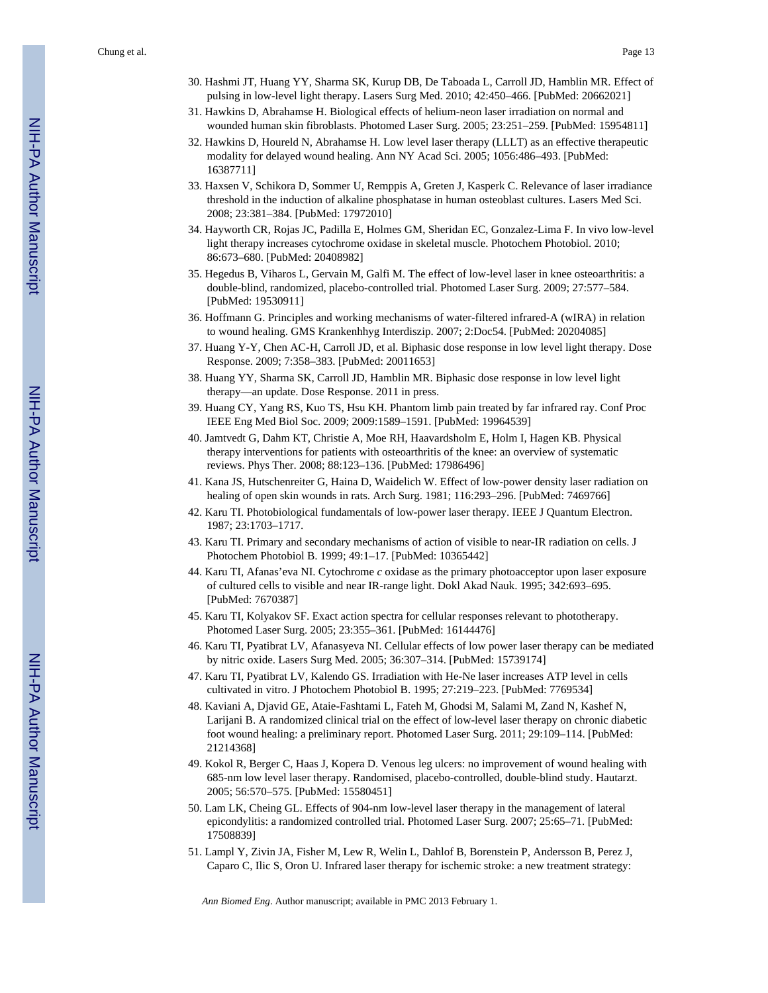- 30. Hashmi JT, Huang YY, Sharma SK, Kurup DB, De Taboada L, Carroll JD, Hamblin MR. Effect of pulsing in low-level light therapy. Lasers Surg Med. 2010; 42:450–466. [PubMed: 20662021]
- 31. Hawkins D, Abrahamse H. Biological effects of helium-neon laser irradiation on normal and wounded human skin fibroblasts. Photomed Laser Surg. 2005; 23:251–259. [PubMed: 15954811]
- 32. Hawkins D, Houreld N, Abrahamse H. Low level laser therapy (LLLT) as an effective therapeutic modality for delayed wound healing. Ann NY Acad Sci. 2005; 1056:486–493. [PubMed: 16387711]
- 33. Haxsen V, Schikora D, Sommer U, Remppis A, Greten J, Kasperk C. Relevance of laser irradiance threshold in the induction of alkaline phosphatase in human osteoblast cultures. Lasers Med Sci. 2008; 23:381–384. [PubMed: 17972010]
- 34. Hayworth CR, Rojas JC, Padilla E, Holmes GM, Sheridan EC, Gonzalez-Lima F. In vivo low-level light therapy increases cytochrome oxidase in skeletal muscle. Photochem Photobiol. 2010; 86:673–680. [PubMed: 20408982]
- 35. Hegedus B, Viharos L, Gervain M, Galfi M. The effect of low-level laser in knee osteoarthritis: a double-blind, randomized, placebo-controlled trial. Photomed Laser Surg. 2009; 27:577–584. [PubMed: 19530911]
- 36. Hoffmann G. Principles and working mechanisms of water-filtered infrared-A (wIRA) in relation to wound healing. GMS Krankenhhyg Interdiszip. 2007; 2:Doc54. [PubMed: 20204085]
- 37. Huang Y-Y, Chen AC-H, Carroll JD, et al. Biphasic dose response in low level light therapy. Dose Response. 2009; 7:358–383. [PubMed: 20011653]
- 38. Huang YY, Sharma SK, Carroll JD, Hamblin MR. Biphasic dose response in low level light therapy—an update. Dose Response. 2011 in press.
- 39. Huang CY, Yang RS, Kuo TS, Hsu KH. Phantom limb pain treated by far infrared ray. Conf Proc IEEE Eng Med Biol Soc. 2009; 2009:1589–1591. [PubMed: 19964539]
- 40. Jamtvedt G, Dahm KT, Christie A, Moe RH, Haavardsholm E, Holm I, Hagen KB. Physical therapy interventions for patients with osteoarthritis of the knee: an overview of systematic reviews. Phys Ther. 2008; 88:123–136. [PubMed: 17986496]
- 41. Kana JS, Hutschenreiter G, Haina D, Waidelich W. Effect of low-power density laser radiation on healing of open skin wounds in rats. Arch Surg. 1981; 116:293–296. [PubMed: 7469766]
- 42. Karu TI. Photobiological fundamentals of low-power laser therapy. IEEE J Quantum Electron. 1987; 23:1703–1717.
- 43. Karu TI. Primary and secondary mechanisms of action of visible to near-IR radiation on cells. J Photochem Photobiol B. 1999; 49:1–17. [PubMed: 10365442]
- 44. Karu TI, Afanas'eva NI. Cytochrome *c* oxidase as the primary photoacceptor upon laser exposure of cultured cells to visible and near IR-range light. Dokl Akad Nauk. 1995; 342:693–695. [PubMed: 7670387]
- 45. Karu TI, Kolyakov SF. Exact action spectra for cellular responses relevant to phototherapy. Photomed Laser Surg. 2005; 23:355–361. [PubMed: 16144476]
- 46. Karu TI, Pyatibrat LV, Afanasyeva NI. Cellular effects of low power laser therapy can be mediated by nitric oxide. Lasers Surg Med. 2005; 36:307–314. [PubMed: 15739174]
- 47. Karu TI, Pyatibrat LV, Kalendo GS. Irradiation with He-Ne laser increases ATP level in cells cultivated in vitro. J Photochem Photobiol B. 1995; 27:219–223. [PubMed: 7769534]
- 48. Kaviani A, Djavid GE, Ataie-Fashtami L, Fateh M, Ghodsi M, Salami M, Zand N, Kashef N, Larijani B. A randomized clinical trial on the effect of low-level laser therapy on chronic diabetic foot wound healing: a preliminary report. Photomed Laser Surg. 2011; 29:109–114. [PubMed: 21214368]
- 49. Kokol R, Berger C, Haas J, Kopera D. Venous leg ulcers: no improvement of wound healing with 685-nm low level laser therapy. Randomised, placebo-controlled, double-blind study. Hautarzt. 2005; 56:570–575. [PubMed: 15580451]
- 50. Lam LK, Cheing GL. Effects of 904-nm low-level laser therapy in the management of lateral epicondylitis: a randomized controlled trial. Photomed Laser Surg. 2007; 25:65–71. [PubMed: 17508839]
- 51. Lampl Y, Zivin JA, Fisher M, Lew R, Welin L, Dahlof B, Borenstein P, Andersson B, Perez J, Caparo C, Ilic S, Oron U. Infrared laser therapy for ischemic stroke: a new treatment strategy: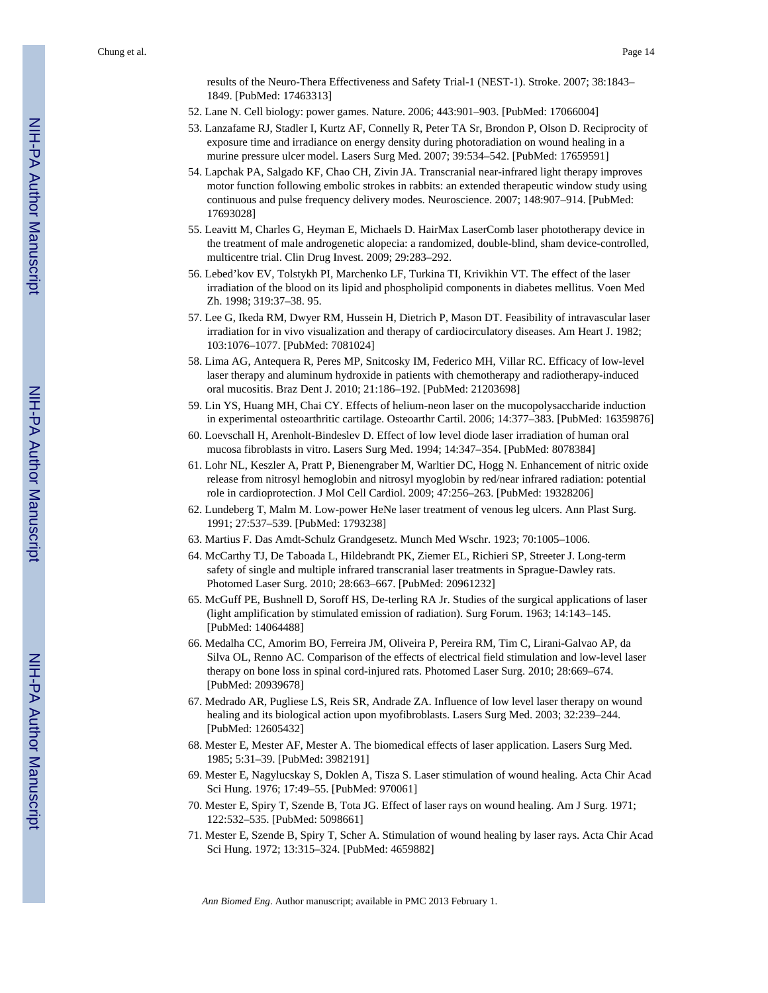results of the Neuro-Thera Effectiveness and Safety Trial-1 (NEST-1). Stroke. 2007; 38:1843– 1849. [PubMed: 17463313]

- 52. Lane N. Cell biology: power games. Nature. 2006; 443:901–903. [PubMed: 17066004]
- 53. Lanzafame RJ, Stadler I, Kurtz AF, Connelly R, Peter TA Sr, Brondon P, Olson D. Reciprocity of exposure time and irradiance on energy density during photoradiation on wound healing in a murine pressure ulcer model. Lasers Surg Med. 2007; 39:534–542. [PubMed: 17659591]
- 54. Lapchak PA, Salgado KF, Chao CH, Zivin JA. Transcranial near-infrared light therapy improves motor function following embolic strokes in rabbits: an extended therapeutic window study using continuous and pulse frequency delivery modes. Neuroscience. 2007; 148:907–914. [PubMed: 17693028]
- 55. Leavitt M, Charles G, Heyman E, Michaels D. HairMax LaserComb laser phototherapy device in the treatment of male androgenetic alopecia: a randomized, double-blind, sham device-controlled, multicentre trial. Clin Drug Invest. 2009; 29:283–292.
- 56. Lebed'kov EV, Tolstykh PI, Marchenko LF, Turkina TI, Krivikhin VT. The effect of the laser irradiation of the blood on its lipid and phospholipid components in diabetes mellitus. Voen Med Zh. 1998; 319:37–38. 95.
- 57. Lee G, Ikeda RM, Dwyer RM, Hussein H, Dietrich P, Mason DT. Feasibility of intravascular laser irradiation for in vivo visualization and therapy of cardiocirculatory diseases. Am Heart J. 1982; 103:1076–1077. [PubMed: 7081024]
- 58. Lima AG, Antequera R, Peres MP, Snitcosky IM, Federico MH, Villar RC. Efficacy of low-level laser therapy and aluminum hydroxide in patients with chemotherapy and radiotherapy-induced oral mucositis. Braz Dent J. 2010; 21:186–192. [PubMed: 21203698]
- 59. Lin YS, Huang MH, Chai CY. Effects of helium-neon laser on the mucopolysaccharide induction in experimental osteoarthritic cartilage. Osteoarthr Cartil. 2006; 14:377–383. [PubMed: 16359876]
- 60. Loevschall H, Arenholt-Bindeslev D. Effect of low level diode laser irradiation of human oral mucosa fibroblasts in vitro. Lasers Surg Med. 1994; 14:347–354. [PubMed: 8078384]
- 61. Lohr NL, Keszler A, Pratt P, Bienengraber M, Warltier DC, Hogg N. Enhancement of nitric oxide release from nitrosyl hemoglobin and nitrosyl myoglobin by red/near infrared radiation: potential role in cardioprotection. J Mol Cell Cardiol. 2009; 47:256–263. [PubMed: 19328206]
- 62. Lundeberg T, Malm M. Low-power HeNe laser treatment of venous leg ulcers. Ann Plast Surg. 1991; 27:537–539. [PubMed: 1793238]
- 63. Martius F. Das Amdt-Schulz Grandgesetz. Munch Med Wschr. 1923; 70:1005–1006.
- 64. McCarthy TJ, De Taboada L, Hildebrandt PK, Ziemer EL, Richieri SP, Streeter J. Long-term safety of single and multiple infrared transcranial laser treatments in Sprague-Dawley rats. Photomed Laser Surg. 2010; 28:663–667. [PubMed: 20961232]
- 65. McGuff PE, Bushnell D, Soroff HS, De-terling RA Jr. Studies of the surgical applications of laser (light amplification by stimulated emission of radiation). Surg Forum. 1963; 14:143–145. [PubMed: 14064488]
- 66. Medalha CC, Amorim BO, Ferreira JM, Oliveira P, Pereira RM, Tim C, Lirani-Galvao AP, da Silva OL, Renno AC. Comparison of the effects of electrical field stimulation and low-level laser therapy on bone loss in spinal cord-injured rats. Photomed Laser Surg. 2010; 28:669–674. [PubMed: 20939678]
- 67. Medrado AR, Pugliese LS, Reis SR, Andrade ZA. Influence of low level laser therapy on wound healing and its biological action upon myofibroblasts. Lasers Surg Med. 2003; 32:239–244. [PubMed: 12605432]
- 68. Mester E, Mester AF, Mester A. The biomedical effects of laser application. Lasers Surg Med. 1985; 5:31–39. [PubMed: 3982191]
- 69. Mester E, Nagylucskay S, Doklen A, Tisza S. Laser stimulation of wound healing. Acta Chir Acad Sci Hung. 1976; 17:49–55. [PubMed: 970061]
- 70. Mester E, Spiry T, Szende B, Tota JG. Effect of laser rays on wound healing. Am J Surg. 1971; 122:532–535. [PubMed: 5098661]
- 71. Mester E, Szende B, Spiry T, Scher A. Stimulation of wound healing by laser rays. Acta Chir Acad Sci Hung. 1972; 13:315–324. [PubMed: 4659882]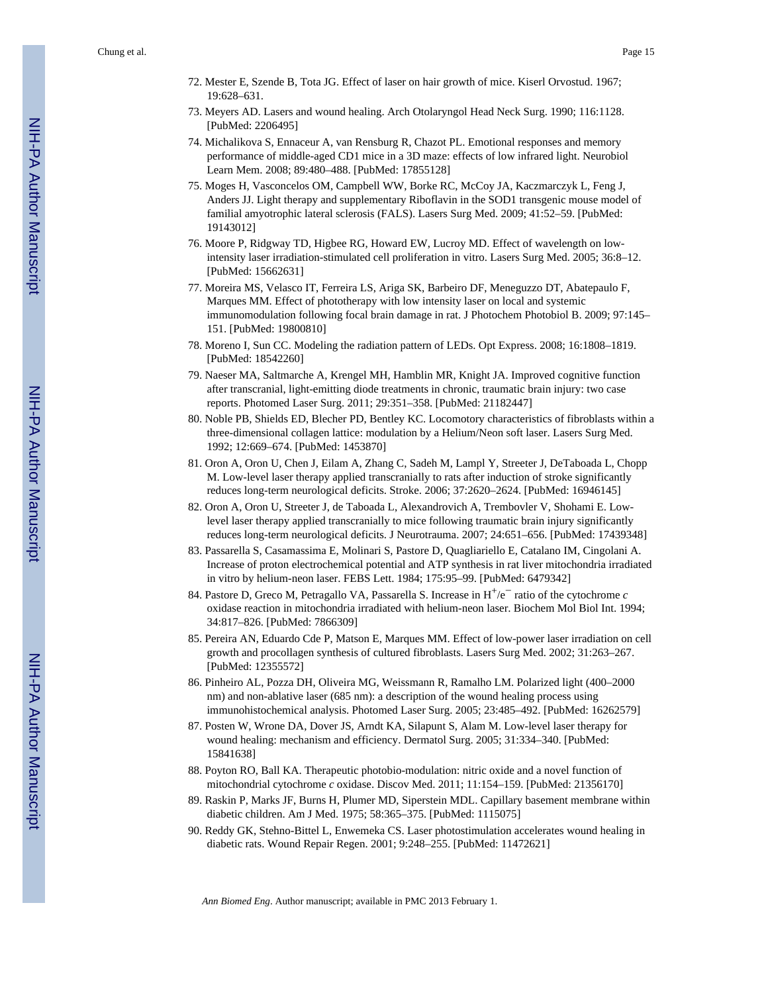- 72. Mester E, Szende B, Tota JG. Effect of laser on hair growth of mice. Kiserl Orvostud. 1967; 19:628–631.
- 73. Meyers AD. Lasers and wound healing. Arch Otolaryngol Head Neck Surg. 1990; 116:1128. [PubMed: 2206495]
- 74. Michalikova S, Ennaceur A, van Rensburg R, Chazot PL. Emotional responses and memory performance of middle-aged CD1 mice in a 3D maze: effects of low infrared light. Neurobiol Learn Mem. 2008; 89:480–488. [PubMed: 17855128]
- 75. Moges H, Vasconcelos OM, Campbell WW, Borke RC, McCoy JA, Kaczmarczyk L, Feng J, Anders JJ. Light therapy and supplementary Riboflavin in the SOD1 transgenic mouse model of familial amyotrophic lateral sclerosis (FALS). Lasers Surg Med. 2009; 41:52–59. [PubMed: 19143012]
- 76. Moore P, Ridgway TD, Higbee RG, Howard EW, Lucroy MD. Effect of wavelength on lowintensity laser irradiation-stimulated cell proliferation in vitro. Lasers Surg Med. 2005; 36:8–12. [PubMed: 15662631]
- 77. Moreira MS, Velasco IT, Ferreira LS, Ariga SK, Barbeiro DF, Meneguzzo DT, Abatepaulo F, Marques MM. Effect of phototherapy with low intensity laser on local and systemic immunomodulation following focal brain damage in rat. J Photochem Photobiol B. 2009; 97:145– 151. [PubMed: 19800810]
- 78. Moreno I, Sun CC. Modeling the radiation pattern of LEDs. Opt Express. 2008; 16:1808–1819. [PubMed: 18542260]
- 79. Naeser MA, Saltmarche A, Krengel MH, Hamblin MR, Knight JA. Improved cognitive function after transcranial, light-emitting diode treatments in chronic, traumatic brain injury: two case reports. Photomed Laser Surg. 2011; 29:351–358. [PubMed: 21182447]
- 80. Noble PB, Shields ED, Blecher PD, Bentley KC. Locomotory characteristics of fibroblasts within a three-dimensional collagen lattice: modulation by a Helium/Neon soft laser. Lasers Surg Med. 1992; 12:669–674. [PubMed: 1453870]
- 81. Oron A, Oron U, Chen J, Eilam A, Zhang C, Sadeh M, Lampl Y, Streeter J, DeTaboada L, Chopp M. Low-level laser therapy applied transcranially to rats after induction of stroke significantly reduces long-term neurological deficits. Stroke. 2006; 37:2620–2624. [PubMed: 16946145]
- 82. Oron A, Oron U, Streeter J, de Taboada L, Alexandrovich A, Trembovler V, Shohami E. Lowlevel laser therapy applied transcranially to mice following traumatic brain injury significantly reduces long-term neurological deficits. J Neurotrauma. 2007; 24:651–656. [PubMed: 17439348]
- 83. Passarella S, Casamassima E, Molinari S, Pastore D, Quagliariello E, Catalano IM, Cingolani A. Increase of proton electrochemical potential and ATP synthesis in rat liver mitochondria irradiated in vitro by helium-neon laser. FEBS Lett. 1984; 175:95–99. [PubMed: 6479342]
- 84. Pastore D, Greco M, Petragallo VA, Passarella S. Increase in H+/e− ratio of the cytochrome *c* oxidase reaction in mitochondria irradiated with helium-neon laser. Biochem Mol Biol Int. 1994; 34:817–826. [PubMed: 7866309]
- 85. Pereira AN, Eduardo Cde P, Matson E, Marques MM. Effect of low-power laser irradiation on cell growth and procollagen synthesis of cultured fibroblasts. Lasers Surg Med. 2002; 31:263–267. [PubMed: 12355572]
- 86. Pinheiro AL, Pozza DH, Oliveira MG, Weissmann R, Ramalho LM. Polarized light (400–2000 nm) and non-ablative laser (685 nm): a description of the wound healing process using immunohistochemical analysis. Photomed Laser Surg. 2005; 23:485–492. [PubMed: 16262579]
- 87. Posten W, Wrone DA, Dover JS, Arndt KA, Silapunt S, Alam M. Low-level laser therapy for wound healing: mechanism and efficiency. Dermatol Surg. 2005; 31:334–340. [PubMed: 15841638]
- 88. Poyton RO, Ball KA. Therapeutic photobio-modulation: nitric oxide and a novel function of mitochondrial cytochrome *c* oxidase. Discov Med. 2011; 11:154–159. [PubMed: 21356170]
- 89. Raskin P, Marks JF, Burns H, Plumer MD, Siperstein MDL. Capillary basement membrane within diabetic children. Am J Med. 1975; 58:365–375. [PubMed: 1115075]
- 90. Reddy GK, Stehno-Bittel L, Enwemeka CS. Laser photostimulation accelerates wound healing in diabetic rats. Wound Repair Regen. 2001; 9:248–255. [PubMed: 11472621]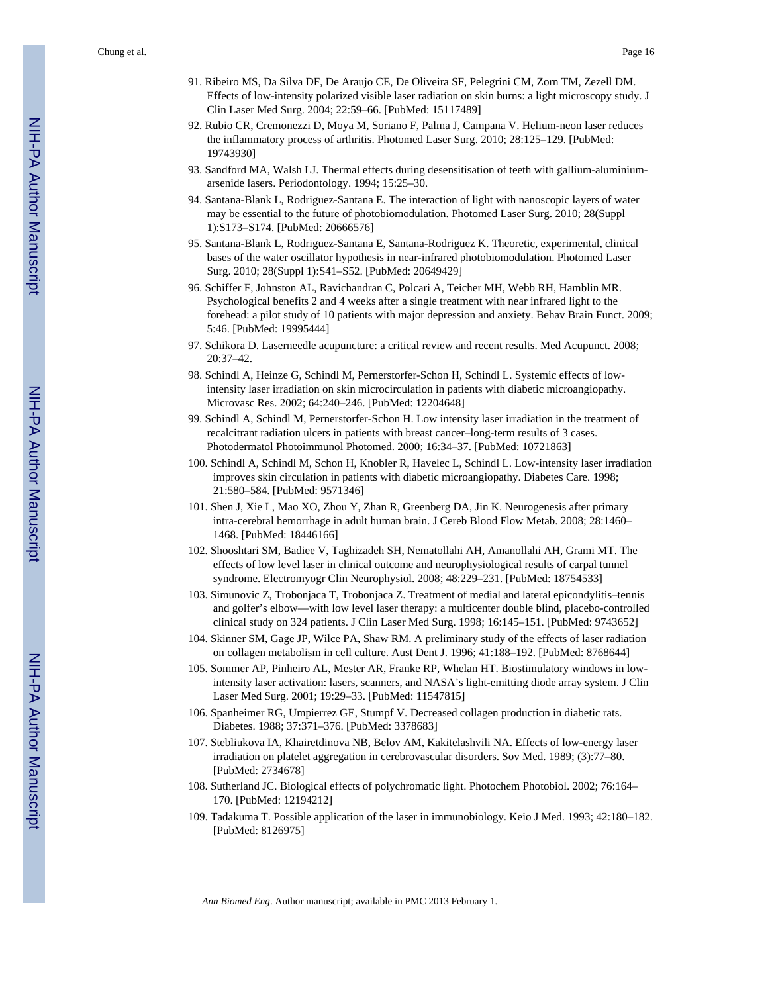- 91. Ribeiro MS, Da Silva DF, De Araujo CE, De Oliveira SF, Pelegrini CM, Zorn TM, Zezell DM. Effects of low-intensity polarized visible laser radiation on skin burns: a light microscopy study. J Clin Laser Med Surg. 2004; 22:59–66. [PubMed: 15117489]
- 92. Rubio CR, Cremonezzi D, Moya M, Soriano F, Palma J, Campana V. Helium-neon laser reduces the inflammatory process of arthritis. Photomed Laser Surg. 2010; 28:125–129. [PubMed: 19743930]
- 93. Sandford MA, Walsh LJ. Thermal effects during desensitisation of teeth with gallium-aluminiumarsenide lasers. Periodontology. 1994; 15:25–30.
- 94. Santana-Blank L, Rodriguez-Santana E. The interaction of light with nanoscopic layers of water may be essential to the future of photobiomodulation. Photomed Laser Surg. 2010; 28(Suppl 1):S173–S174. [PubMed: 20666576]
- 95. Santana-Blank L, Rodriguez-Santana E, Santana-Rodriguez K. Theoretic, experimental, clinical bases of the water oscillator hypothesis in near-infrared photobiomodulation. Photomed Laser Surg. 2010; 28(Suppl 1):S41–S52. [PubMed: 20649429]
- 96. Schiffer F, Johnston AL, Ravichandran C, Polcari A, Teicher MH, Webb RH, Hamblin MR. Psychological benefits 2 and 4 weeks after a single treatment with near infrared light to the forehead: a pilot study of 10 patients with major depression and anxiety. Behav Brain Funct. 2009; 5:46. [PubMed: 19995444]
- 97. Schikora D. Laserneedle acupuncture: a critical review and recent results. Med Acupunct. 2008; 20:37–42.
- 98. Schindl A, Heinze G, Schindl M, Pernerstorfer-Schon H, Schindl L. Systemic effects of lowintensity laser irradiation on skin microcirculation in patients with diabetic microangiopathy. Microvasc Res. 2002; 64:240–246. [PubMed: 12204648]
- 99. Schindl A, Schindl M, Pernerstorfer-Schon H. Low intensity laser irradiation in the treatment of recalcitrant radiation ulcers in patients with breast cancer–long-term results of 3 cases. Photodermatol Photoimmunol Photomed. 2000; 16:34–37. [PubMed: 10721863]
- 100. Schindl A, Schindl M, Schon H, Knobler R, Havelec L, Schindl L. Low-intensity laser irradiation improves skin circulation in patients with diabetic microangiopathy. Diabetes Care. 1998; 21:580–584. [PubMed: 9571346]
- 101. Shen J, Xie L, Mao XO, Zhou Y, Zhan R, Greenberg DA, Jin K. Neurogenesis after primary intra-cerebral hemorrhage in adult human brain. J Cereb Blood Flow Metab. 2008; 28:1460– 1468. [PubMed: 18446166]
- 102. Shooshtari SM, Badiee V, Taghizadeh SH, Nematollahi AH, Amanollahi AH, Grami MT. The effects of low level laser in clinical outcome and neurophysiological results of carpal tunnel syndrome. Electromyogr Clin Neurophysiol. 2008; 48:229–231. [PubMed: 18754533]
- 103. Simunovic Z, Trobonjaca T, Trobonjaca Z. Treatment of medial and lateral epicondylitis–tennis and golfer's elbow—with low level laser therapy: a multicenter double blind, placebo-controlled clinical study on 324 patients. J Clin Laser Med Surg. 1998; 16:145–151. [PubMed: 9743652]
- 104. Skinner SM, Gage JP, Wilce PA, Shaw RM. A preliminary study of the effects of laser radiation on collagen metabolism in cell culture. Aust Dent J. 1996; 41:188–192. [PubMed: 8768644]
- 105. Sommer AP, Pinheiro AL, Mester AR, Franke RP, Whelan HT. Biostimulatory windows in lowintensity laser activation: lasers, scanners, and NASA's light-emitting diode array system. J Clin Laser Med Surg. 2001; 19:29–33. [PubMed: 11547815]
- 106. Spanheimer RG, Umpierrez GE, Stumpf V. Decreased collagen production in diabetic rats. Diabetes. 1988; 37:371–376. [PubMed: 3378683]
- 107. Stebliukova IA, Khairetdinova NB, Belov AM, Kakitelashvili NA. Effects of low-energy laser irradiation on platelet aggregation in cerebrovascular disorders. Sov Med. 1989; (3):77–80. [PubMed: 2734678]
- 108. Sutherland JC. Biological effects of polychromatic light. Photochem Photobiol. 2002; 76:164– 170. [PubMed: 12194212]
- 109. Tadakuma T. Possible application of the laser in immunobiology. Keio J Med. 1993; 42:180–182. [PubMed: 8126975]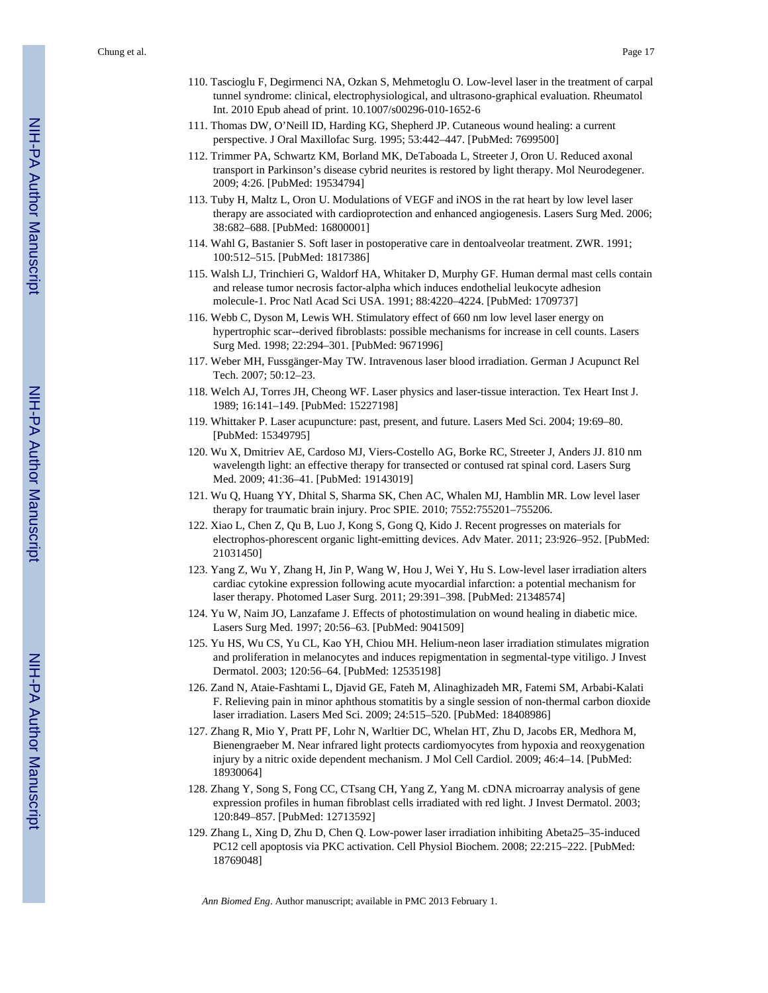- 110. Tascioglu F, Degirmenci NA, Ozkan S, Mehmetoglu O. Low-level laser in the treatment of carpal tunnel syndrome: clinical, electrophysiological, and ultrasono-graphical evaluation. Rheumatol Int. 2010 Epub ahead of print. 10.1007/s00296-010-1652-6
- 111. Thomas DW, O'Neill ID, Harding KG, Shepherd JP. Cutaneous wound healing: a current perspective. J Oral Maxillofac Surg. 1995; 53:442–447. [PubMed: 7699500]
- 112. Trimmer PA, Schwartz KM, Borland MK, DeTaboada L, Streeter J, Oron U. Reduced axonal transport in Parkinson's disease cybrid neurites is restored by light therapy. Mol Neurodegener. 2009; 4:26. [PubMed: 19534794]
- 113. Tuby H, Maltz L, Oron U. Modulations of VEGF and iNOS in the rat heart by low level laser therapy are associated with cardioprotection and enhanced angiogenesis. Lasers Surg Med. 2006; 38:682–688. [PubMed: 16800001]
- 114. Wahl G, Bastanier S. Soft laser in postoperative care in dentoalveolar treatment. ZWR. 1991; 100:512–515. [PubMed: 1817386]
- 115. Walsh LJ, Trinchieri G, Waldorf HA, Whitaker D, Murphy GF. Human dermal mast cells contain and release tumor necrosis factor-alpha which induces endothelial leukocyte adhesion molecule-1. Proc Natl Acad Sci USA. 1991; 88:4220–4224. [PubMed: 1709737]
- 116. Webb C, Dyson M, Lewis WH. Stimulatory effect of 660 nm low level laser energy on hypertrophic scar--derived fibroblasts: possible mechanisms for increase in cell counts. Lasers Surg Med. 1998; 22:294–301. [PubMed: 9671996]
- 117. Weber MH, Fussgänger-May TW. Intravenous laser blood irradiation. German J Acupunct Rel Tech. 2007; 50:12–23.
- 118. Welch AJ, Torres JH, Cheong WF. Laser physics and laser-tissue interaction. Tex Heart Inst J. 1989; 16:141–149. [PubMed: 15227198]
- 119. Whittaker P. Laser acupuncture: past, present, and future. Lasers Med Sci. 2004; 19:69–80. [PubMed: 15349795]
- 120. Wu X, Dmitriev AE, Cardoso MJ, Viers-Costello AG, Borke RC, Streeter J, Anders JJ. 810 nm wavelength light: an effective therapy for transected or contused rat spinal cord. Lasers Surg Med. 2009; 41:36–41. [PubMed: 19143019]
- 121. Wu Q, Huang YY, Dhital S, Sharma SK, Chen AC, Whalen MJ, Hamblin MR. Low level laser therapy for traumatic brain injury. Proc SPIE. 2010; 7552:755201–755206.
- 122. Xiao L, Chen Z, Qu B, Luo J, Kong S, Gong Q, Kido J. Recent progresses on materials for electrophos-phorescent organic light-emitting devices. Adv Mater. 2011; 23:926–952. [PubMed: 21031450]
- 123. Yang Z, Wu Y, Zhang H, Jin P, Wang W, Hou J, Wei Y, Hu S. Low-level laser irradiation alters cardiac cytokine expression following acute myocardial infarction: a potential mechanism for laser therapy. Photomed Laser Surg. 2011; 29:391–398. [PubMed: 21348574]
- 124. Yu W, Naim JO, Lanzafame J. Effects of photostimulation on wound healing in diabetic mice. Lasers Surg Med. 1997; 20:56–63. [PubMed: 9041509]
- 125. Yu HS, Wu CS, Yu CL, Kao YH, Chiou MH. Helium-neon laser irradiation stimulates migration and proliferation in melanocytes and induces repigmentation in segmental-type vitiligo. J Invest Dermatol. 2003; 120:56–64. [PubMed: 12535198]
- 126. Zand N, Ataie-Fashtami L, Djavid GE, Fateh M, Alinaghizadeh MR, Fatemi SM, Arbabi-Kalati F. Relieving pain in minor aphthous stomatitis by a single session of non-thermal carbon dioxide laser irradiation. Lasers Med Sci. 2009; 24:515–520. [PubMed: 18408986]
- 127. Zhang R, Mio Y, Pratt PF, Lohr N, Warltier DC, Whelan HT, Zhu D, Jacobs ER, Medhora M, Bienengraeber M. Near infrared light protects cardiomyocytes from hypoxia and reoxygenation injury by a nitric oxide dependent mechanism. J Mol Cell Cardiol. 2009; 46:4–14. [PubMed: 18930064]
- 128. Zhang Y, Song S, Fong CC, CTsang CH, Yang Z, Yang M. cDNA microarray analysis of gene expression profiles in human fibroblast cells irradiated with red light. J Invest Dermatol. 2003; 120:849–857. [PubMed: 12713592]
- 129. Zhang L, Xing D, Zhu D, Chen Q. Low-power laser irradiation inhibiting Abeta25–35-induced PC12 cell apoptosis via PKC activation. Cell Physiol Biochem. 2008; 22:215–222. [PubMed: 18769048]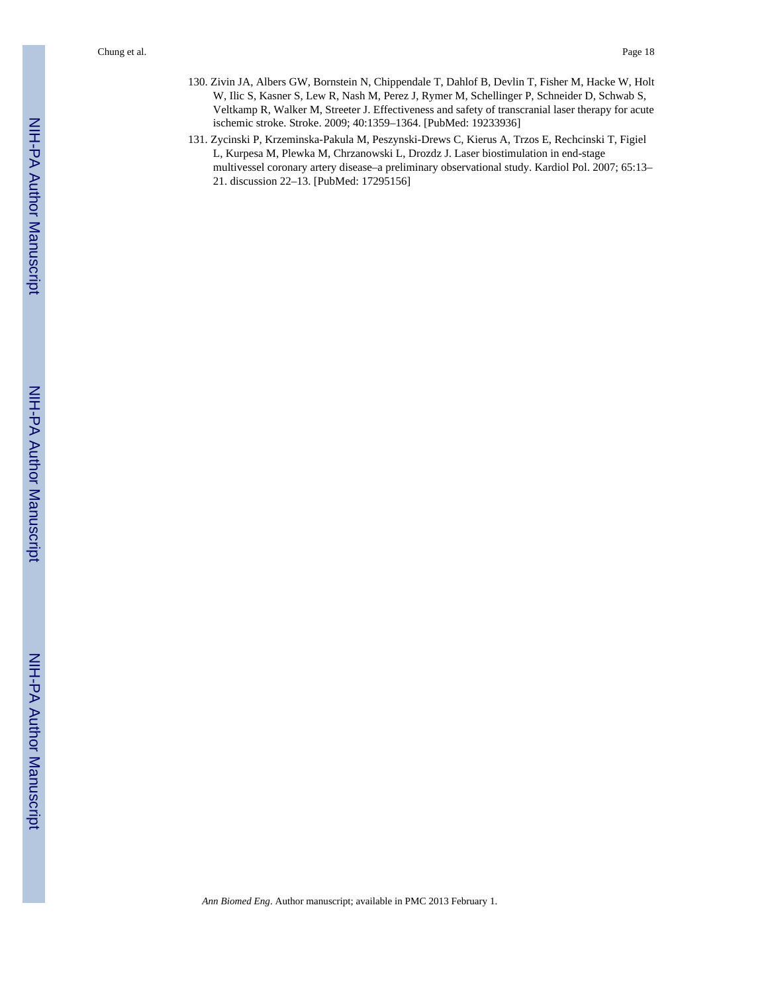- 130. Zivin JA, Albers GW, Bornstein N, Chippendale T, Dahlof B, Devlin T, Fisher M, Hacke W, Holt W, Ilic S, Kasner S, Lew R, Nash M, Perez J, Rymer M, Schellinger P, Schneider D, Schwab S, Veltkamp R, Walker M, Streeter J. Effectiveness and safety of transcranial laser therapy for acute ischemic stroke. Stroke. 2009; 40:1359–1364. [PubMed: 19233936]
- 131. Zycinski P, Krzeminska-Pakula M, Peszynski-Drews C, Kierus A, Trzos E, Rechcinski T, Figiel L, Kurpesa M, Plewka M, Chrzanowski L, Drozdz J. Laser biostimulation in end-stage multivessel coronary artery disease–a preliminary observational study. Kardiol Pol. 2007; 65:13– 21. discussion 22–13. [PubMed: 17295156]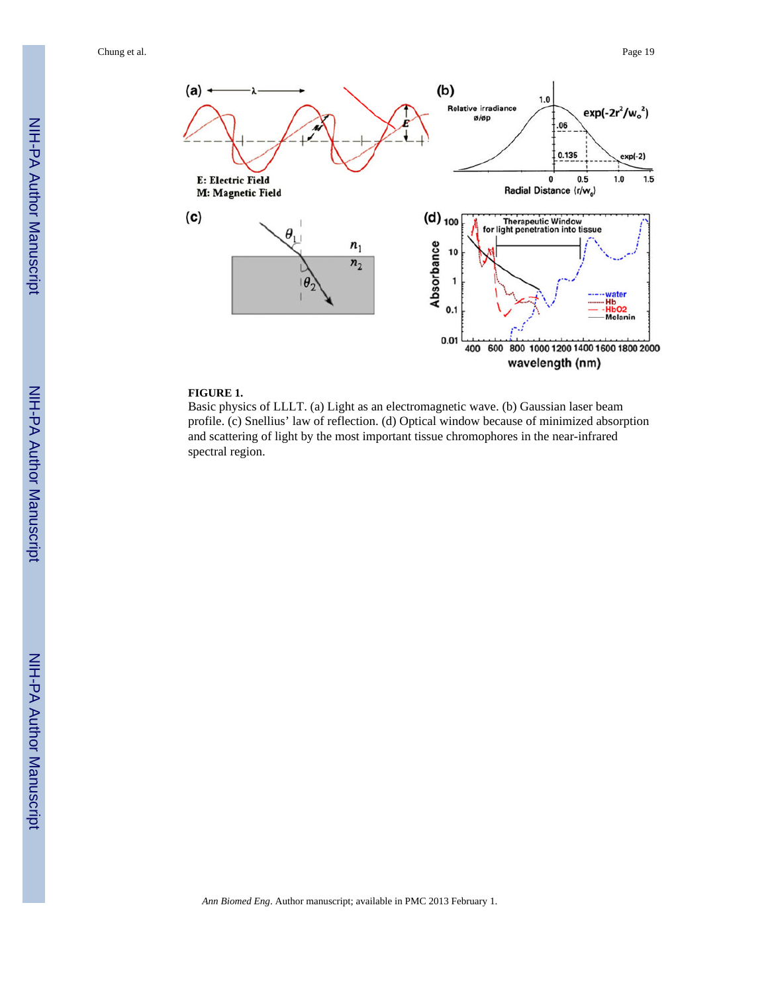

#### **FIGURE 1.**

Basic physics of LLLT. (a) Light as an electromagnetic wave. (b) Gaussian laser beam profile. (c) Snellius' law of reflection. (d) Optical window because of minimized absorption and scattering of light by the most important tissue chromophores in the near-infrared spectral region.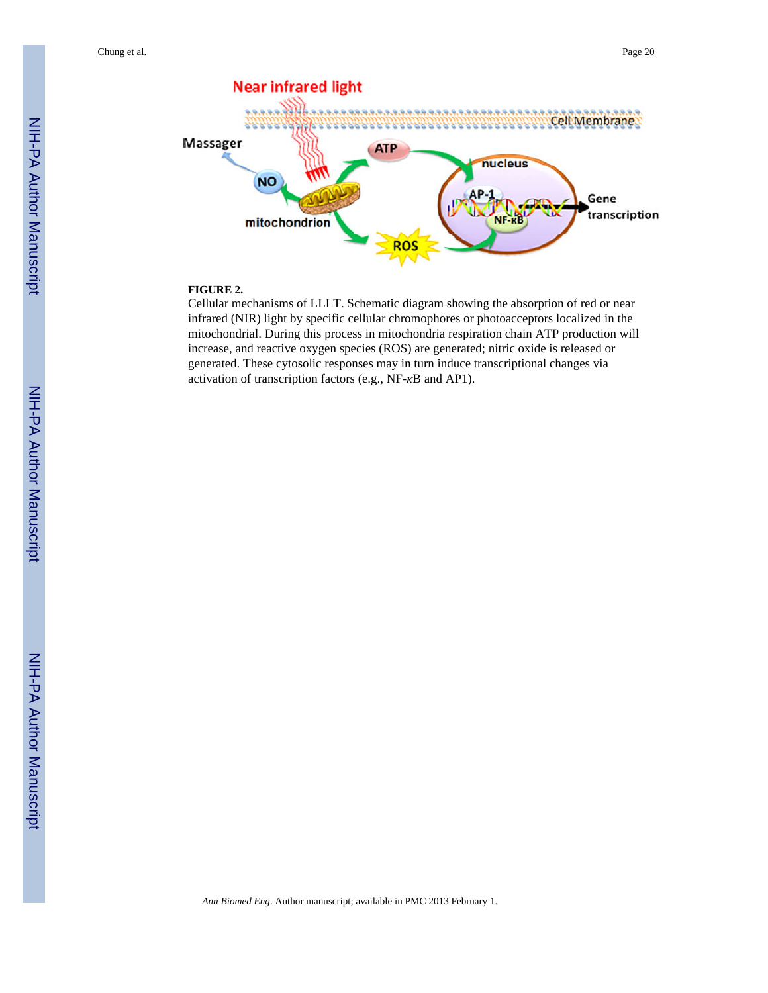

#### **FIGURE 2.**

Cellular mechanisms of LLLT. Schematic diagram showing the absorption of red or near infrared (NIR) light by specific cellular chromophores or photoacceptors localized in the mitochondrial. During this process in mitochondria respiration chain ATP production will increase, and reactive oxygen species (ROS) are generated; nitric oxide is released or generated. These cytosolic responses may in turn induce transcriptional changes via activation of transcription factors (e.g., NF-*κ*B and AP1).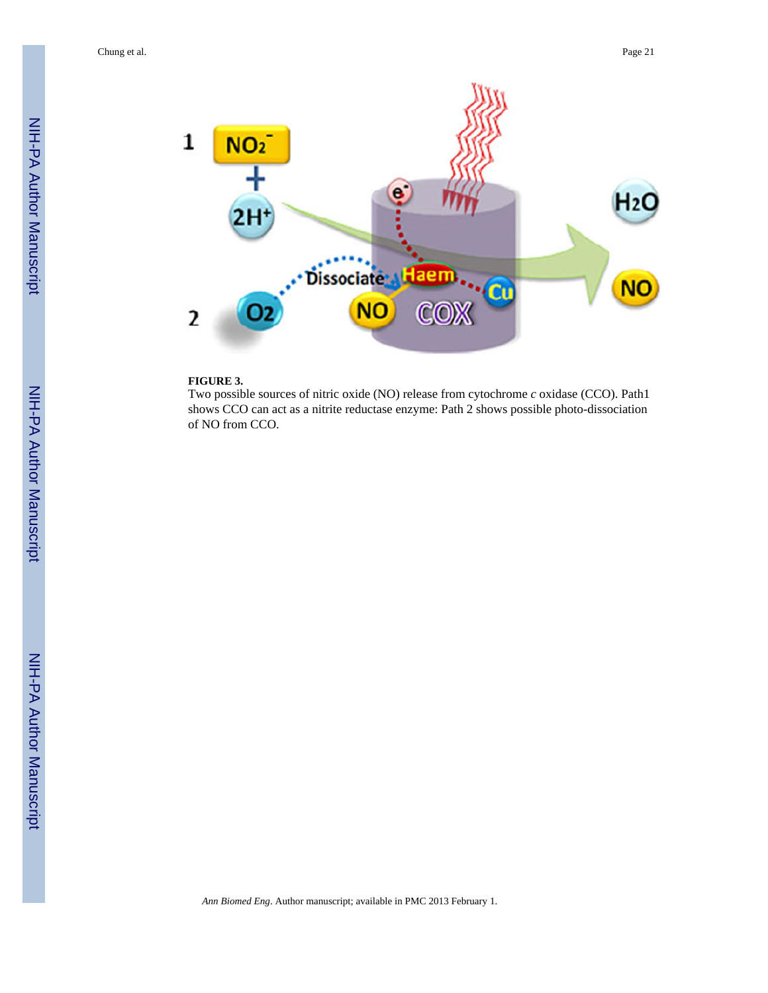

#### **FIGURE 3.**

Two possible sources of nitric oxide (NO) release from cytochrome *c* oxidase (CCO). Path1 shows CCO can act as a nitrite reductase enzyme: Path 2 shows possible photo-dissociation of NO from CCO.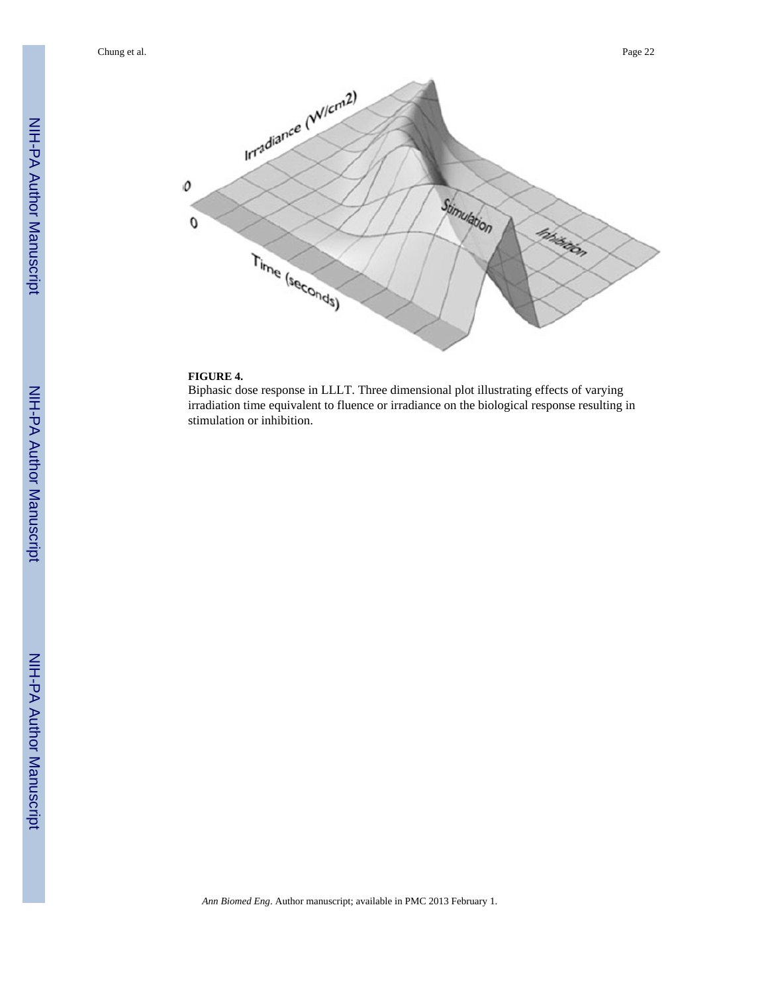

#### **FIGURE 4.**

Biphasic dose response in LLLT. Three dimensional plot illustrating effects of varying irradiation time equivalent to fluence or irradiance on the biological response resulting in stimulation or inhibition.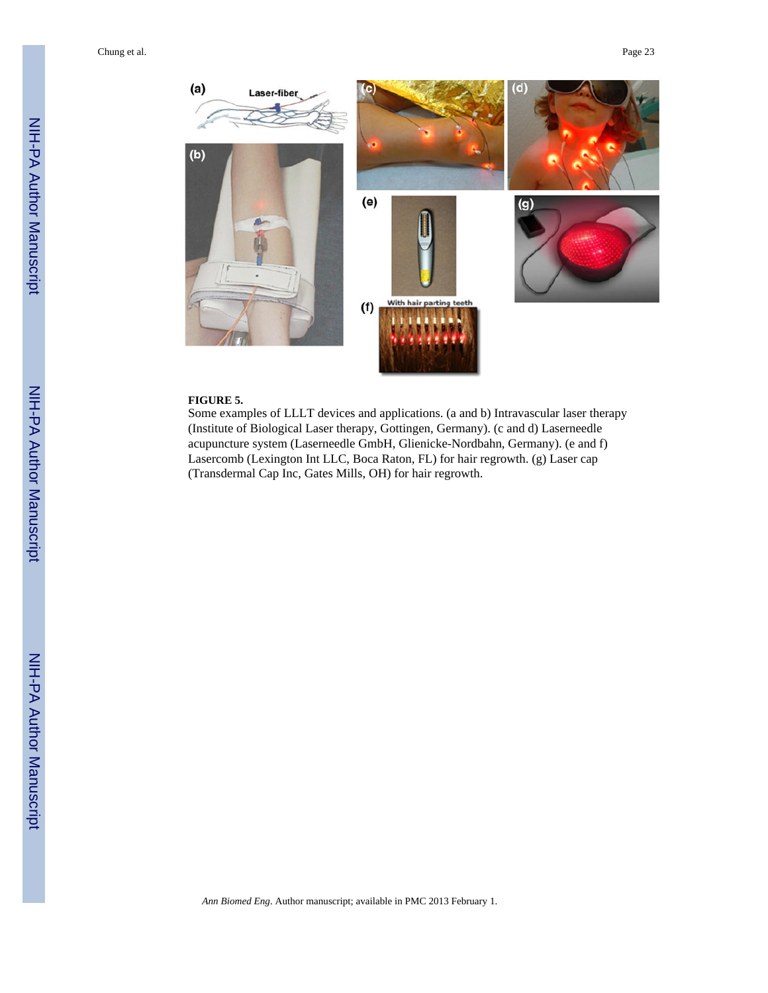

#### **FIGURE 5.**

Some examples of LLLT devices and applications. (a and b) Intravascular laser therapy (Institute of Biological Laser therapy, Gottingen, Germany). (c and d) Laserneedle acupuncture system (Laserneedle GmbH, Glienicke-Nordbahn, Germany). (e and f) Lasercomb (Lexington Int LLC, Boca Raton, FL) for hair regrowth. (g) Laser cap (Transdermal Cap Inc, Gates Mills, OH) for hair regrowth.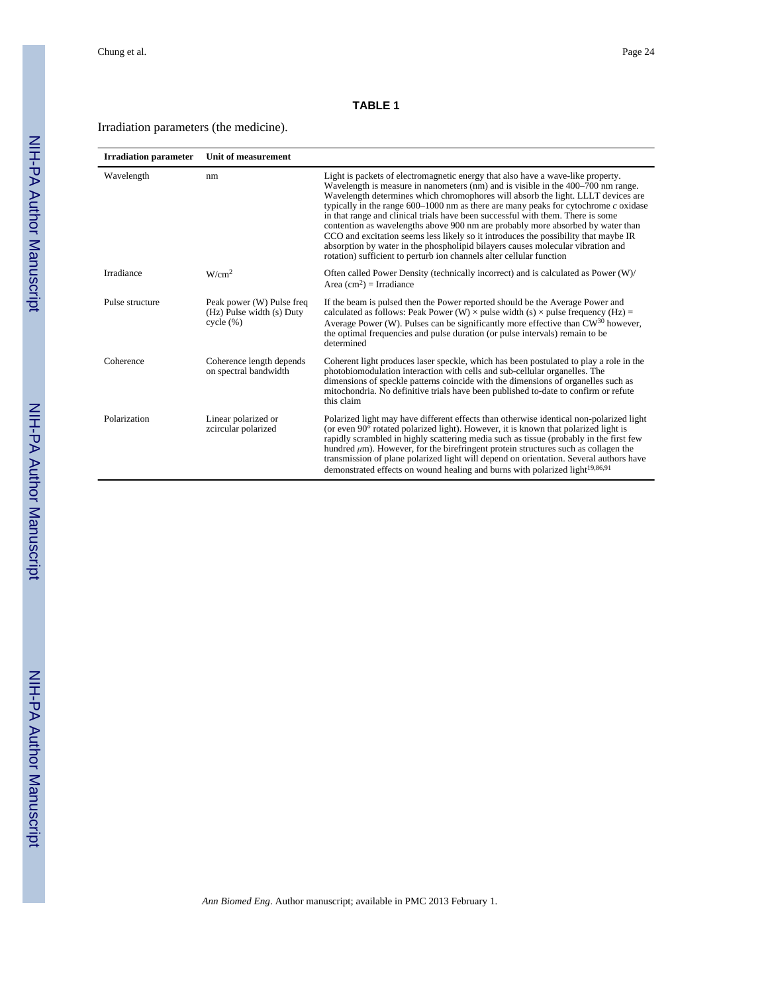#### **TABLE 1**

#### Irradiation parameters (the medicine).

| <b>Irradiation parameter</b> | <b>Unit of measurement</b>                                          |                                                                                                                                                                                                                                                                                                                                                                                                                                                                                                                                                                                                                                                                                                                                                                          |
|------------------------------|---------------------------------------------------------------------|--------------------------------------------------------------------------------------------------------------------------------------------------------------------------------------------------------------------------------------------------------------------------------------------------------------------------------------------------------------------------------------------------------------------------------------------------------------------------------------------------------------------------------------------------------------------------------------------------------------------------------------------------------------------------------------------------------------------------------------------------------------------------|
| Wavelength                   | nm                                                                  | Light is packets of electromagnetic energy that also have a wave-like property.<br>Wavelength is measure in nanometers (nm) and is visible in the 400–700 nm range.<br>Wavelength determines which chromophores will absorb the light. LLLT devices are<br>typically in the range $600-1000$ nm as there are many peaks for cytochrome c oxidase<br>in that range and clinical trials have been successful with them. There is some<br>contention as wavelengths above 900 nm are probably more absorbed by water than<br>CCO and excitation seems less likely so it introduces the possibility that maybe IR<br>absorption by water in the phospholipid bilayers causes molecular vibration and<br>rotation) sufficient to perturb ion channels alter cellular function |
| Irradiance                   | W/cm <sup>2</sup>                                                   | Often called Power Density (technically incorrect) and is calculated as Power (W)/<br>Area $\text{(cm}^2)$ = Irradiance                                                                                                                                                                                                                                                                                                                                                                                                                                                                                                                                                                                                                                                  |
| Pulse structure              | Peak power (W) Pulse freq<br>(Hz) Pulse width (s) Duty<br>cycle (%) | If the beam is pulsed then the Power reported should be the Average Power and<br>calculated as follows: Peak Power (W) $\times$ pulse width (s) $\times$ pulse frequency (Hz) =<br>Average Power (W). Pulses can be significantly more effective than CW <sup>30</sup> however,<br>the optimal frequencies and pulse duration (or pulse intervals) remain to be<br>determined                                                                                                                                                                                                                                                                                                                                                                                            |
| Coherence                    | Coherence length depends<br>on spectral bandwidth                   | Coherent light produces laser speckle, which has been postulated to play a role in the<br>photobiomodulation interaction with cells and sub-cellular organelles. The<br>dimensions of speckle patterns coincide with the dimensions of organelles such as<br>mitochondria. No definitive trials have been published to-date to confirm or refute<br>this claim                                                                                                                                                                                                                                                                                                                                                                                                           |
| Polarization                 | Linear polarized or<br>zcircular polarized                          | Polarized light may have different effects than otherwise identical non-polarized light<br>(or even 90° rotated polarized light). However, it is known that polarized light is<br>rapidly scrambled in highly scattering media such as tissue (probably in the first few<br>hundred $\mu$ m). However, for the birefringent protein structures such as collagen the<br>transmission of plane polarized light will depend on orientation. Several authors have<br>demonstrated effects on wound healing and burns with polarized light <sup>19,86,91</sup>                                                                                                                                                                                                                |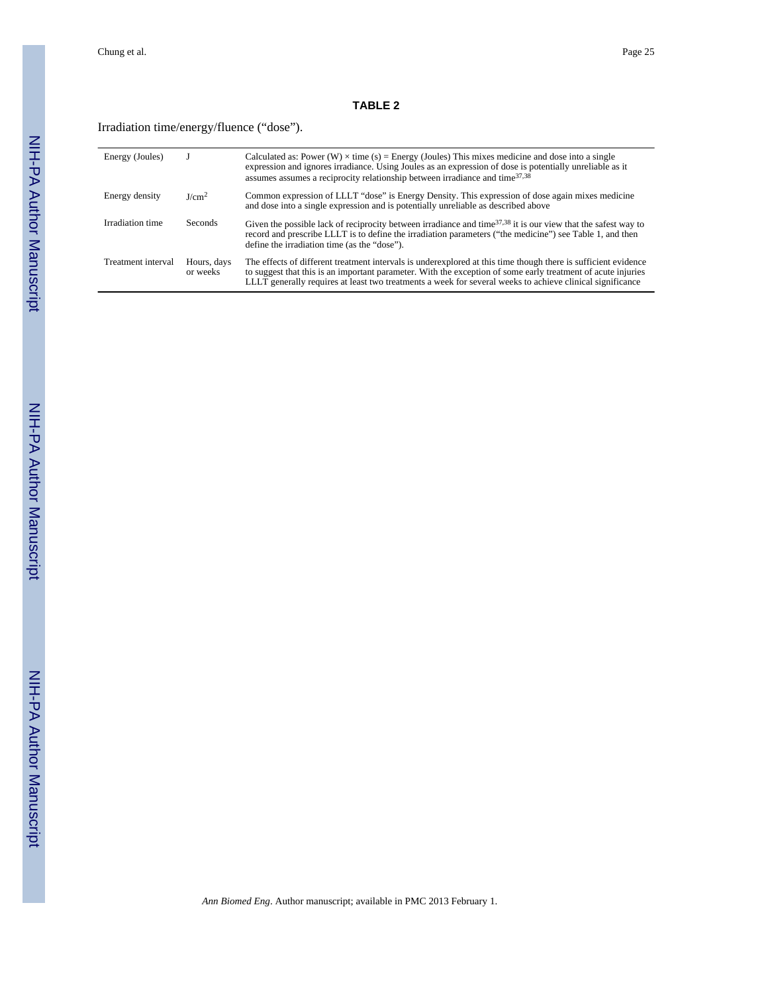#### **TABLE 2**

#### Irradiation time/energy/fluence ("dose").

| Energy (Joules)    |                         | Calculated as: Power (W) $\times$ time (s) = Energy (Joules) This mixes medicine and dose into a single<br>expression and ignores irradiance. Using Joules as an expression of dose is potentially unreliable as it<br>assumes assumes a reciprocity relationship between irradiance and time $37,38$                                       |
|--------------------|-------------------------|---------------------------------------------------------------------------------------------------------------------------------------------------------------------------------------------------------------------------------------------------------------------------------------------------------------------------------------------|
| Energy density     | J/cm <sup>2</sup>       | Common expression of LLLT "dose" is Energy Density. This expression of dose again mixes medicine<br>and dose into a single expression and is potentially unreliable as described above                                                                                                                                                      |
| Irradiation time   | <b>Seconds</b>          | Given the possible lack of reciprocity between irradiance and time $37,38$ it is our view that the safest way to<br>record and prescribe LLLT is to define the irradiation parameters ("the medicine") see Table 1, and then<br>define the irradiation time (as the "dose").                                                                |
| Treatment interval | Hours, days<br>or weeks | The effects of different treatment intervals is underexplored at this time though there is sufficient evidence<br>to suggest that this is an important parameter. With the exception of some early treatment of acute injuries<br>LLLT generally requires at least two treatments a week for several weeks to achieve clinical significance |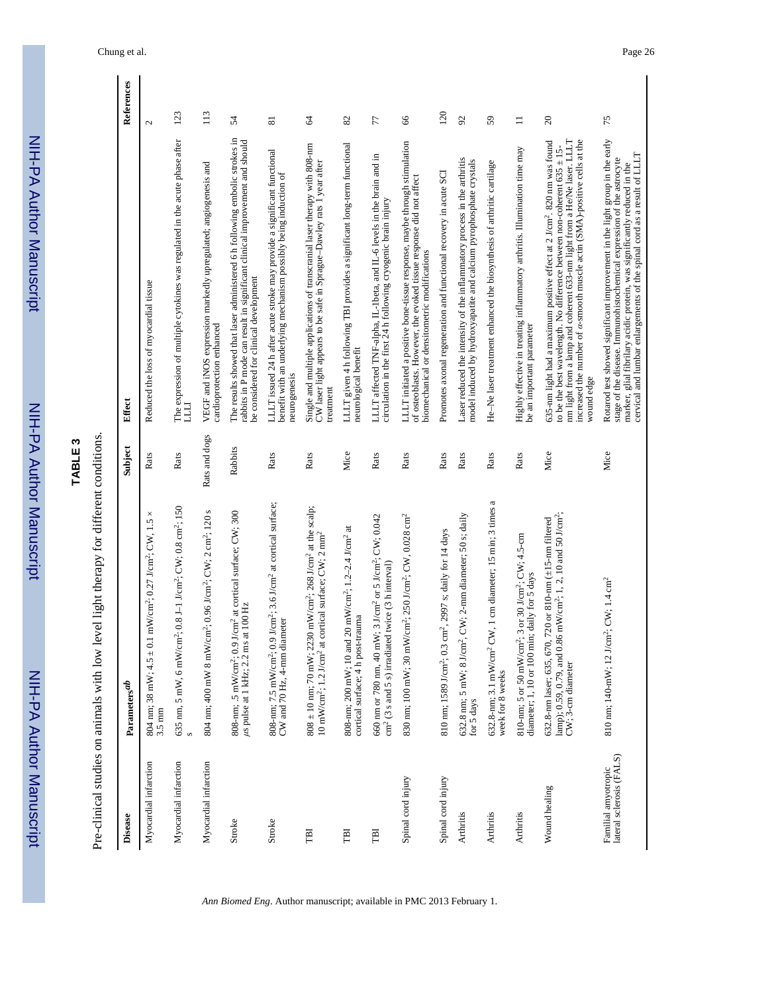# **TABLE 3**

| "人": "人": "人":                                                                                                                                                                                                                     |
|------------------------------------------------------------------------------------------------------------------------------------------------------------------------------------------------------------------------------------|
| きくさく キャラマ そくり<br>$\ddot{\cdot}$                                                                                                                                                                                                    |
| .<br>.<br>.<br>ı                                                                                                                                                                                                                   |
|                                                                                                                                                                                                                                    |
| <br> <br> <br>)<br>、                                                                                                                                                                                                               |
|                                                                                                                                                                                                                                    |
|                                                                                                                                                                                                                                    |
|                                                                                                                                                                                                                                    |
| ֧֧֧֧֧֧ׅ֧֧֧֧֧֪֧֧֪֪֪֪֪֪֛֪֛֛֛֛֛֛֛֛֚֚֚֚֚֚֚֚֚֚֚֚֚֚֚֚֚֚֚֚֚֚֚֚֚֚֡֝֓֝֟֓֝֟֓֝֟֓֝֓֜֓֜֟֓֝֬֜֝֬֝֬֝֟                                                                                                                                              |
|                                                                                                                                                                                                                                    |
| that he climated and a control of the look in the looking of the control in the three control is only in the control in the control in the control in the control in the control in the control in the control in the control<br>i |
| ļ<br>I                                                                                                                                                                                                                             |

| <b>Disease</b>                                  | Parameters <sup>ab</sup>                                                                                                                                                          | Subject       | Effect                                                                                                                                                                                                                                                                                                                        | References      |
|-------------------------------------------------|-----------------------------------------------------------------------------------------------------------------------------------------------------------------------------------|---------------|-------------------------------------------------------------------------------------------------------------------------------------------------------------------------------------------------------------------------------------------------------------------------------------------------------------------------------|-----------------|
| Myocardial infarction                           | $mW/cm^2$ ; 0.27 J/cm <sup>2</sup> ; CW, 1.5 $\times$<br>804 nm; 38 mW; $4.5 \pm 0.1$<br>3.5 mm                                                                                   | Rats          | Reduced the loss of myocardial tissue                                                                                                                                                                                                                                                                                         | $\mathcal{L}$   |
| Myocardial infarction                           | 635 nm, 5 mW, 6 mW/cm <sup>2</sup> ; 0.8 J-1 J/cm <sup>2</sup> ; CW; 0.8 cm <sup>2</sup> ; 150                                                                                    | Rats          | The expression of multiple cytokines was regulated in the acute phase after<br>ЦЦ                                                                                                                                                                                                                                             | 123             |
| Myocardial infarction                           | 804 nm; 400 mW 8 mW/cm <sup>2</sup> ; 0.96 J/cm <sup>2</sup> ; CW; 2 cm <sup>2</sup> ; 120 s                                                                                      | Rats and dogs | VEGF and iNOS expression markedly upregulated; angiogenesis and<br>cardioprotection enhanced                                                                                                                                                                                                                                  | 113             |
| Stroke                                          | 808-mm; .5 mW/cm <sup>2</sup> ; 0.9 J/cm <sup>2</sup> at cortical surface; CW; 300 $\mu$ s pulse at 1 kHz; 2.2 ms at 100 Hz                                                       | Rabbits       | The results showed that laser administered 6 h following embolic strokes in<br>rabbits in P mode can result in significant clinical improvement and should<br>be considered for clinical development                                                                                                                          | 54              |
| Stroke                                          | 808-nm; 7.5 mW/cm <sup>2</sup> ; 0.9 J/cm <sup>2</sup> ; 3.6 J/cm <sup>2</sup> at cortical surface;<br>CW and 70 Hz, 4-mm diameter                                                | Rats          | LLLT issued 24 h after acute stroke may provide a significant functional<br>benefit with an underlying mechanism possibly being induction of<br>neurogenesis                                                                                                                                                                  | $\overline{81}$ |
| TВI                                             | $808 \pm 10$ nm; 70 mW; 2230 mW/cm <sup>2</sup> ; 268 J/cm <sup>2</sup> at the scalp;<br>10 mW/cm <sup>2</sup> ; 1.2 J/cm <sup>2</sup> at cortical surface; CW; 2 mm <sup>2</sup> | Rats          | Single and multiple applications of transcranial laser therapy with 808-nm<br>CW laser light appears to be safe in Sprague-Dawley rats 1 year after<br>treatment                                                                                                                                                              | $\mathcal{A}$   |
| ΓBI                                             | 808-nm; 200 mW; 10 and 20 mW/cm <sup>2</sup> ; 1.2-2.4 J/cm <sup>2</sup> at<br>cortical surface; 4 h post-trauma                                                                  | Mice          | LLLT given 4 h following TBI provides a significant long-term functional<br>neurological benefit                                                                                                                                                                                                                              | 82              |
| TВI                                             | 660 nm or 780 nm, 40 mW; 3 J/cm <sup>2</sup> or 5 J/cm <sup>2</sup> ; CW; 0.042<br>cm <sup>2</sup> (3 s and 5 s) irradiated twice (3 h interval)                                  | Rats          | LLLT affected TNF-alpha, IL-1beta, and IL-6 levels in the brain and in<br>circulation in the first 24 h following cryogenic brain injury                                                                                                                                                                                      | 77              |
| Spinal cord injury                              | 830 nm; 100 mW; 30 mW/cm <sup>2</sup> ; 250 J/cm <sup>2</sup> ; CW, 0.028 cm <sup>2</sup>                                                                                         | Rats          | LLLT initiated a positive bone-tissue response, maybe through stimulation<br>of osteoblasts. However, the evoked tissue response did not affect<br>biomechanical or densitometric modifications                                                                                                                               | 66              |
| Spinal cord injury                              | 810 nm; 1589 J/cm <sup>2</sup> ; 0.3 cm <sup>2</sup> , 2997 s; daily for 14 days                                                                                                  | Rats          | Promotes axonal regeneration and functional recovery in acute SCI                                                                                                                                                                                                                                                             | 120             |
| Arthritis                                       | CW; 2-mm diameter; 50 s; daily<br>632.8 nm; 5 mW; 8 $J/cm2$ ,<br>for 5 days                                                                                                       | Rats          | Laser reduced the intensity of the inflammatory process in the arthritis<br>model induced by hydroxyapatite and calcium pyrophosphate crystals                                                                                                                                                                                | $\mathcal{S}$   |
| Arthritis                                       | 632.8-nm; 3.1 mW/cm <sup>2</sup> CW, 1 cm diameter; 15 min; 3 times a<br>week for 8 weeks                                                                                         | Rats          | He-Ne laser treatment enhanced the biosynthesis of arthritic cartilage                                                                                                                                                                                                                                                        | 59              |
| Arthritis                                       | 810-nm; 5 or 50 mW/cm <sup>2</sup> ; 3 or 30 J/cm <sup>2</sup> ; CW; 4.5-cm<br>diameter; 1, 10 or 100 min; daily for 5 days                                                       | Rats          | Highly effective in treating inflammatory arthritis. Illumination time may<br>be an important parameter                                                                                                                                                                                                                       | $\equiv$        |
| Wound healing                                   | lamp); 0.59, 0.79, and 0.86 mW/cm <sup>2</sup> ; 1, 2, 10 and 50 J/cm <sup>2</sup> ;<br>720 or 810-nm $(\pm 15$ -nm filtered<br>632.8-nm laser; 635, 670,<br>CW; 3-cm diameter    | Mice          | nm light from a lamp and coherent 633-nm light from a He/Ne laser. LLLT<br>increased the number of a-smooth muscle actin (SMA)-positive cells at the<br>655-nm light had a maximum positive effect at 2 $J/cm^2$ . 820 nm was found to be the best wavelength. No difference between non-coherent 635 $\pm$ 15-<br>wound edge | $\Omega$        |
| lateral sclerosis (FALS)<br>Familial amyotropic | 810 nm; 140-mW; 12 J/cm <sup>2</sup> ; CW; 1.4 cm <sup>2</sup>                                                                                                                    | Mice          | Rotarod test showed significant improvement in the light group in the early<br>marker, glial fibrilary acidic protein, was significantly reduced in the<br>cervical and lumbar enlargements of the spinal cord as a result of LLLT<br>stage of the disease. Immunohistochemical expression of the astrocyte                   | 75              |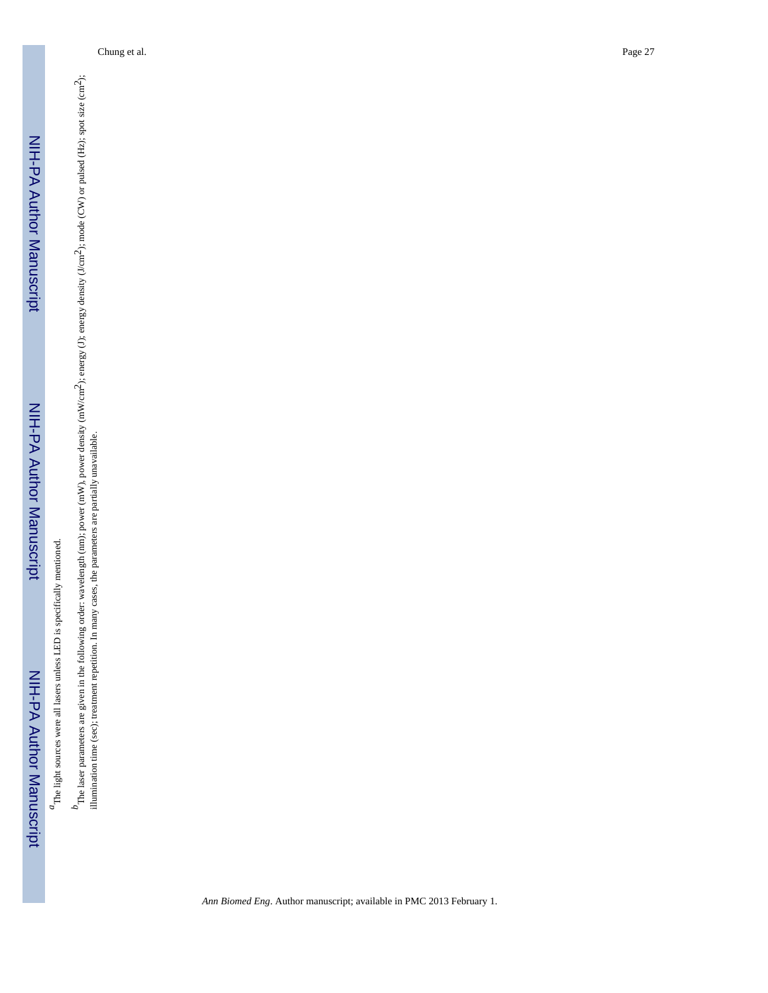${}^{a}$  The light sources were all lasers unless LED is specifically mentioned. *a*The light sources were all lasers unless LED is specifically mentioned.

 $b_{\text{The laser parameters are given in the following order: wavelength (mm); power (mW), power density (mW/cm<sup>2</sup>); energy (J); energy density (J/cm<sup>2</sup>); mode (CW) or pulsed (Hz); spot size (cm<sup>2</sup>);  
ilumination time (sec); treatment repetition. In many cases, the parameters are partially unavailable.$ *b*The laser parameters are given in the following order: wavelength (nm); power (mW), power density (mW/cm2); energy (J); energy density (J/cm2); mode (CW) or pulsed (Hz); spot size (cm2); illumination time (sec); treatment repetition. In many cases, the parameters are partially unavailable.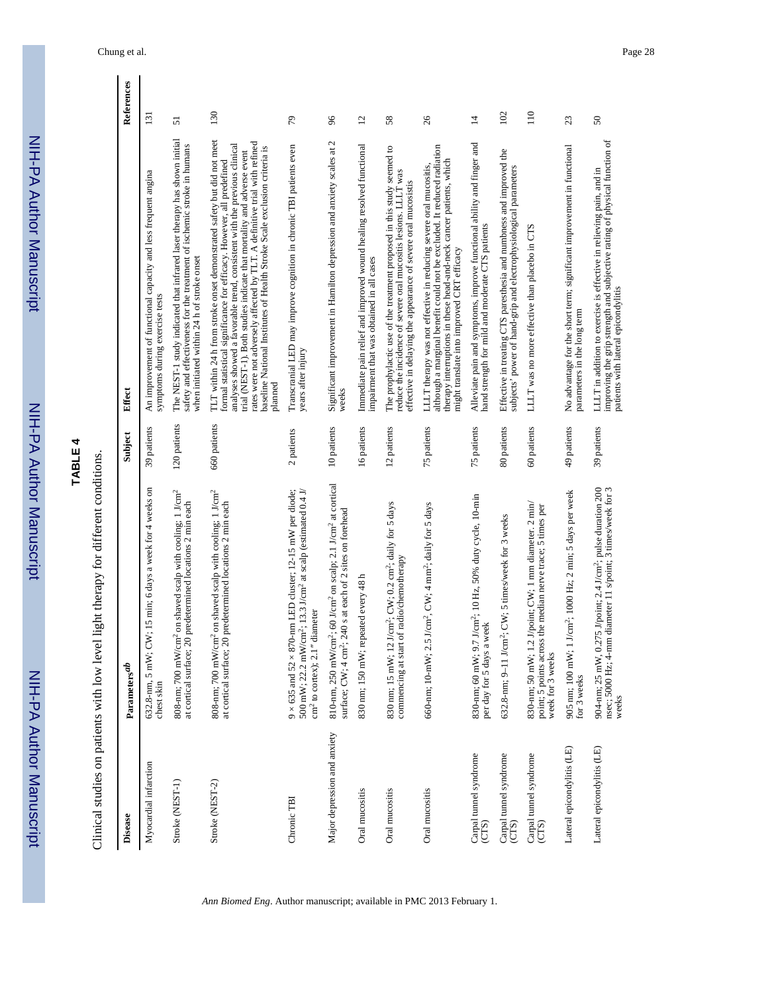NIH-PA Author ManuscriptNIH-PA Author Manuscript

NIH-PA Author Manuscript

NIH-PA Author Manuscript

| ັ<br>- |  |
|--------|--|
|        |  |
|        |  |
|        |  |
|        |  |

| Clinical studies on patients with low level | light therapy for different conditions                                                                                                                                                                      |              |                                                                                                                                                                                                                                                                                                                                                                                                                                                                            |                  |
|---------------------------------------------|-------------------------------------------------------------------------------------------------------------------------------------------------------------------------------------------------------------|--------------|----------------------------------------------------------------------------------------------------------------------------------------------------------------------------------------------------------------------------------------------------------------------------------------------------------------------------------------------------------------------------------------------------------------------------------------------------------------------------|------------------|
| <b>Disease</b>                              | Parameters $^{ab}$                                                                                                                                                                                          | Subject      | <b>Effect</b>                                                                                                                                                                                                                                                                                                                                                                                                                                                              | References       |
| Myocardial infarction                       | 632.8-nm, 5 mW; CW; 15 min; 6 days a week for 4 weeks on<br>chest skin                                                                                                                                      | 39 patients  | An improvement of functional capacity and less frequent angina<br>symptoms during exercise tests                                                                                                                                                                                                                                                                                                                                                                           | $\overline{131}$ |
| Stroke (NEST-1)                             | on shaved scalp with cooling; 1 J/cm <sup>2</sup><br>predetermined locations 2 min each<br>808-nm; 700 mW/cm <sup>2</sup><br>at cortical surface; 20                                                        | 120 patients | The NEST-I study indicated that infrared laser therapy has shown initial<br>safety and effectiveness for the treatment of ischemic stroke in humans<br>when initiated within 24 h of stroke onset                                                                                                                                                                                                                                                                          | 51               |
| Stroke (NEST-2)                             | on shaved scalp with cooling; 1 J/cm <sup>2</sup><br>predetermined locations 2 min each<br>808-nm; 700 mW/cm <sup>2</sup><br>at cortical surface; 20                                                        | 660 patients | TLT within 24 h from stroke onset demonstrated safety but did not meet<br>rates were not adversely affected by TLT. A definitive trial with refined<br>analyses showed a favorable trend, consistent with the previous clinical<br>baseline National Institutes of Health Stroke Scale exclusion criteria is<br>trial (NEST-1). Both studies indicate that mortality and adverse event<br>formal statistical significance for efficacy. However, all predefined<br>planned | 130              |
| Chronic TBI                                 | $9 \times 635$ and $52 \times 870$ -nm LED cluster; 12-15 mW per diode;<br>500 mW; 22.2 mW/cm <sup>2</sup> ; 13.3 J/cm <sup>2</sup> at scalp (estimated 0.4 J/<br>cm <sup>2</sup> to cortex); 2.1" diameter | 2 patients   | Transcranial LED may improve cognition in chronic TBI patients even<br>years after injury                                                                                                                                                                                                                                                                                                                                                                                  | 56               |
| Major depression and anxiety                | 810-nm, 250 mW/cm <sup>2</sup> ; 60 J/cm <sup>2</sup> on scalp; 2.1 J/cm <sup>2</sup> at cortical<br>surface; CW; 4 cm <sup>2</sup> ; 240 s at each of 2 sites on forehead                                  | 10 patients  | Significant improvement in Hamilton depression and anxiety scales at 2<br>weeks                                                                                                                                                                                                                                                                                                                                                                                            | $\delta$         |
| Oral mucositis                              | 830 nm; 150 mW; repeated every 48 h                                                                                                                                                                         | 16 patients  | Immediate pain relief and improved wound healing resolved functional<br>impairment that was obtained in all cases                                                                                                                                                                                                                                                                                                                                                          | $\overline{5}$   |
| Oral mucositis                              | 830 nm; 15 mW; 12 J/cm <sup>2</sup> ; CW; 0.2 cm <sup>2</sup> ; daily for 5 days<br>commencing at start of radio/chemotherapy                                                                               | 12 patients  | The prophylactic use of the treatment proposed in this study seemed to<br>reduce the incidence of severe oral mucositis lesions. LLLT was<br>effective in delaying the appearance of severe oral mucosistis                                                                                                                                                                                                                                                                | 58               |
| Oral mucositis                              | //cm <sup>2</sup> , CW; 4 mm <sup>2</sup> ; daily for 5 days<br>660-nm; 10-mW; 2.51                                                                                                                         | 75 patients  | although a marginal benefit could not be excluded. It reduced radiation<br>therapy interruptions in these head-and-neck cancer patients, which<br>LLLT therapy was not effective in reducing severe oral mucositis,<br>might translate into improved CRT efficacy                                                                                                                                                                                                          | 26               |
| Carpal tunnel syndrome<br>(CTS)             | 830-nm; 60 mW; 9.7 J/cm <sup>2</sup> ; 10 Hz, 50% duty cycle, 10-min<br>per day for 5 days a week                                                                                                           | 75 patients  | Alleviate pain and symptoms, improve functional ability and finger and<br>hand strength for mild and moderate CTS patients                                                                                                                                                                                                                                                                                                                                                 | $\overline{4}$   |
| Carpal tunnel syndrome<br>(CTS)             | 632.8-nm; 9-11 J/cm <sup>2</sup> ; CW; 5 times/week for 3 weeks                                                                                                                                             | 80 patients  | Effective in treating CTS paresthesia and numbness and improved the<br>subjects' power of hand-grip and electrophysiological parameters                                                                                                                                                                                                                                                                                                                                    | 102              |
| Carpal tunnel syndrome<br>(CTS)             | /point; CW; 1 mm diameter. 2 min/<br>he median nerve trace; 5 times per<br>830-nm; 50 mW; 1.2 J<br>point; 5 points across t<br>week for 3 weeks                                                             | 60 patients  | LLLT was no more effective than placebo in CTS                                                                                                                                                                                                                                                                                                                                                                                                                             | $\overline{110}$ |
| Lateral epicondylitis (LE)                  | 905 nm; 100 mW; 1 J/cm <sup>2</sup> ; 1000 Hz; 2 min; 5 days per week<br>for 3 weeks                                                                                                                        | 49 patients  | No advantage for the short term; significant improvement in functional<br>parameters in the long term                                                                                                                                                                                                                                                                                                                                                                      | 23               |
| Lateral epicondylitis (LE)                  | 904-nm; 25 mW, 0.275 J/point; 2.4 J/cm <sup>2</sup> ; pulse duration 200 nsec; 5000 Hz; 4-nm diameter 11 s/point; 3 times/week for 3<br>weeks                                                               | 39 patients  | improving the grip strength and subjective rating of physical function of<br>LLLT in addition to exercise is effective in relieving pain, and in<br>patients with lateral epicondylitis                                                                                                                                                                                                                                                                                    | $50\,$           |